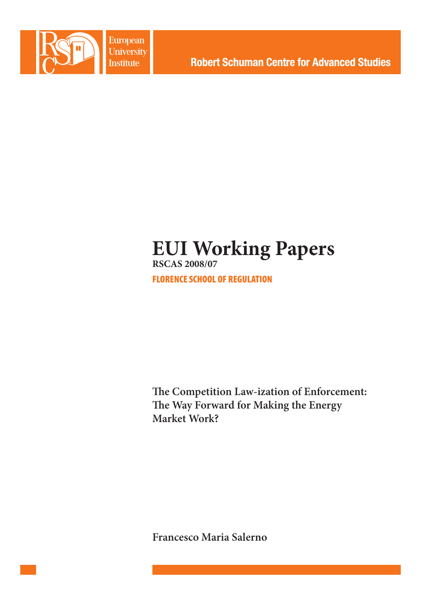

**European University Institute** 

**Robert Schuman Centre for Advanced Studies** 

# **EUI Working Papers RSCAS 2008/07** FLORENCE SCHOOL OF REGULATION

**The Competition Law-ization of Enforcement: The Way Forward for Making the Energy Market Work?**

**Francesco Maria Salerno**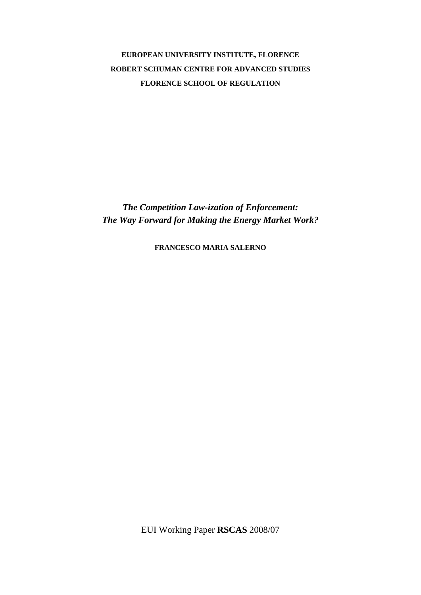## **EUROPEAN UNIVERSITY INSTITUTE, FLORENCE ROBERT SCHUMAN CENTRE FOR ADVANCED STUDIES FLORENCE SCHOOL OF REGULATION**

*The Competition Law-ization of Enforcement: The Way Forward for Making the Energy Market Work?* 

**FRANCESCO MARIA SALERNO**

EUI Working Paper **RSCAS** 2008/07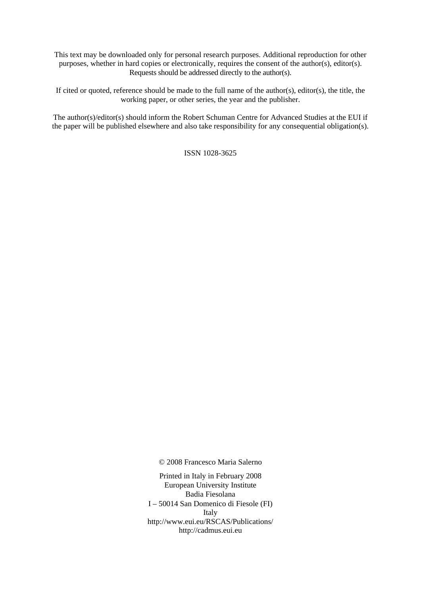This text may be downloaded only for personal research purposes. Additional reproduction for other purposes, whether in hard copies or electronically, requires the consent of the author(s), editor(s). Requests should be addressed directly to the author(s).

If cited or quoted, reference should be made to the full name of the author(s), editor(s), the title, the working paper, or other series, the year and the publisher.

The author(s)/editor(s) should inform the Robert Schuman Centre for Advanced Studies at the EUI if the paper will be published elsewhere and also take responsibility for any consequential obligation(s).

ISSN 1028-3625

© 2008 Francesco Maria Salerno

Printed in Italy in February 2008 European University Institute Badia Fiesolana I – 50014 San Domenico di Fiesole (FI) Italy http://www.eui.eu/RSCAS/Publications/ http://cadmus.eui.eu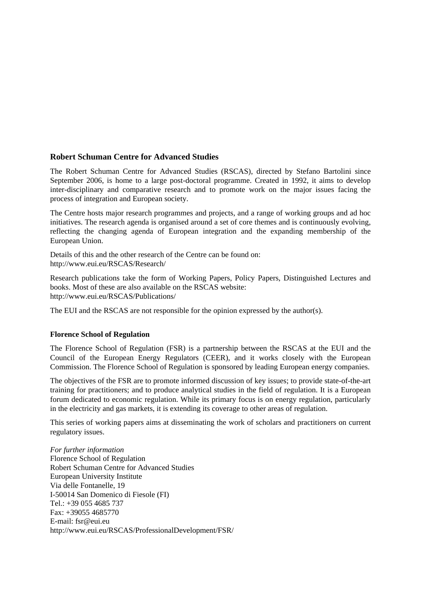## **Robert Schuman Centre for Advanced Studies**

The Robert Schuman Centre for Advanced Studies (RSCAS), directed by Stefano Bartolini since September 2006, is home to a large post-doctoral programme. Created in 1992, it aims to develop inter-disciplinary and comparative research and to promote work on the major issues facing the process of integration and European society.

The Centre hosts major research programmes and projects, and a range of working groups and ad hoc initiatives. The research agenda is organised around a set of core themes and is continuously evolving, reflecting the changing agenda of European integration and the expanding membership of the European Union.

Details of this and the other research of the Centre can be found on: http://www.eui.eu/RSCAS/Research/

Research publications take the form of Working Papers, Policy Papers, Distinguished Lectures and books. Most of these are also available on the RSCAS website: http://www.eui.eu/RSCAS/Publications/

The EUI and the RSCAS are not responsible for the opinion expressed by the author(s).

## **Florence School of Regulation**

The Florence School of Regulation (FSR) is a partnership between the RSCAS at the EUI and the Council of the European Energy Regulators (CEER), and it works closely with the European Commission. The Florence School of Regulation is sponsored by leading European energy companies.

The objectives of the FSR are to promote informed discussion of key issues; to provide state-of-the-art training for practitioners; and to produce analytical studies in the field of regulation. It is a European forum dedicated to economic regulation. While its primary focus is on energy regulation, particularly in the electricity and gas markets, it is extending its coverage to other areas of regulation.

This series of working papers aims at disseminating the work of scholars and practitioners on current regulatory issues.

*For further information*  Florence School of Regulation Robert Schuman Centre for Advanced Studies European University Institute Via delle Fontanelle, 19 I-50014 San Domenico di Fiesole (FI) Tel.: +39 055 4685 737 Fax: +39055 4685770 E-mail: fsr@eui.eu http://www.eui.eu/RSCAS/ProfessionalDevelopment/FSR/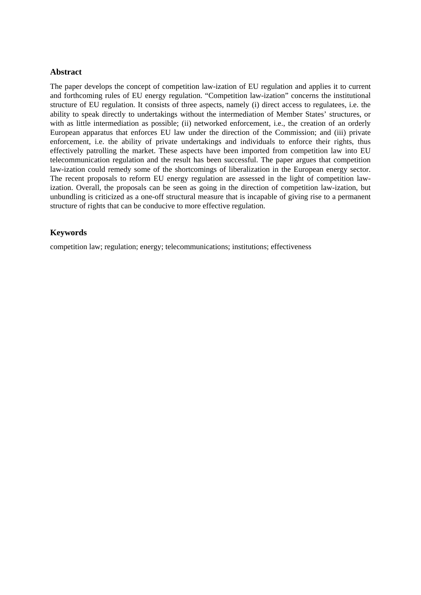## **Abstract**

The paper develops the concept of competition law-ization of EU regulation and applies it to current and forthcoming rules of EU energy regulation. "Competition law-ization" concerns the institutional structure of EU regulation. It consists of three aspects, namely (i) direct access to regulatees, i.e. the ability to speak directly to undertakings without the intermediation of Member States' structures, or with as little intermediation as possible; (ii) networked enforcement, i.e., the creation of an orderly European apparatus that enforces EU law under the direction of the Commission; and (iii) private enforcement, i.e. the ability of private undertakings and individuals to enforce their rights, thus effectively patrolling the market. These aspects have been imported from competition law into EU telecommunication regulation and the result has been successful. The paper argues that competition law-ization could remedy some of the shortcomings of liberalization in the European energy sector. The recent proposals to reform EU energy regulation are assessed in the light of competition lawization. Overall, the proposals can be seen as going in the direction of competition law-ization, but unbundling is criticized as a one-off structural measure that is incapable of giving rise to a permanent structure of rights that can be conducive to more effective regulation.

## **Keywords**

competition law; regulation; energy; telecommunications; institutions; effectiveness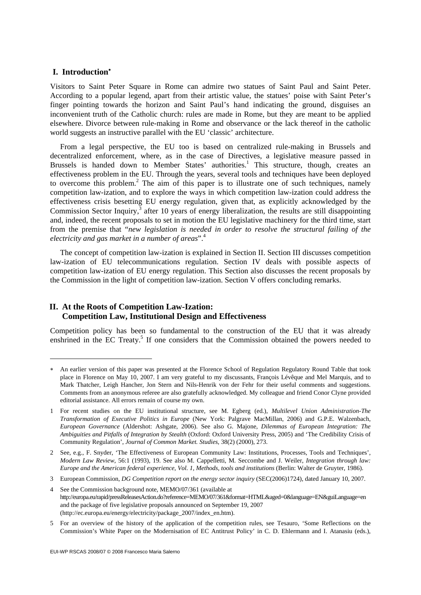## **I. Introduction**<sup>∗</sup>

-

Visitors to Saint Peter Square in Rome can admire two statues of Saint Paul and Saint Peter. According to a popular legend, apart from their artistic value, the statues' poise with Saint Peter's finger pointing towards the horizon and Saint Paul's hand indicating the ground, disguises an inconvenient truth of the Catholic church: rules are made in Rome, but they are meant to be applied elsewhere. Divorce between rule-making in Rome and observance or the lack thereof in the catholic world suggests an instructive parallel with the EU 'classic' architecture.

From a legal perspective, the EU too is based on centralized rule-making in Brussels and decentralized enforcement, where, as in the case of Directives, a legislative measure passed in Brussels is handed down to Member States' authorities.<sup>1</sup> This structure, though, creates an effectiveness problem in the EU. Through the years, several tools and techniques have been deployed to overcome this problem.<sup>2</sup> The aim of this paper is to illustrate one of such techniques, namely competition law-ization, and to explore the ways in which competition law-ization could address the effectiveness crisis besetting EU energy regulation, given that, as explicitly acknowledged by the Commission Sector Inquiry, $3$  after 10 years of energy liberalization, the results are still disappointing and, indeed, the recent proposals to set in motion the EU legislative machinery for the third time, start from the premise that "*new legislation is needed in order to resolve the structural failing of the electricity and gas market in a number of areas*".<sup>4</sup>

The concept of competition law-ization is explained in Section II. Section III discusses competition law-ization of EU telecommunications regulation. Section IV deals with possible aspects of competition law-ization of EU energy regulation. This Section also discusses the recent proposals by the Commission in the light of competition law-ization. Section V offers concluding remarks.

## **II. At the Roots of Competition Law-Ization: Competition Law, Institutional Design and Effectiveness**

Competition policy has been so fundamental to the construction of the EU that it was already enshrined in the EC Treaty.<sup>5</sup> If one considers that the Commission obtained the powers needed to

5 For an overview of the history of the application of the competition rules, see Tesauro, 'Some Reflections on the Commission's White Paper on the Modernisation of EC Antitrust Policy' in C. D. Ehlermann and I. Atanasiu (eds.),

<sup>∗</sup> An earlier version of this paper was presented at the Florence School of Regulation Regulatory Round Table that took place in Florence on May 10, 2007. I am very grateful to my discussants, François Lévêque and Mel Marquis, and to Mark Thatcher, Leigh Hancher, Jon Stern and Nils-Henrik von der Fehr for their useful comments and suggestions. Comments from an anonymous referee are also gratefully acknowledged. My colleague and friend Conor Clyne provided editorial assistance. All errors remain of course my own.

<sup>1</sup> For recent studies on the EU institutional structure, see M. Egberg (ed.), *Multilevel Union Administration-The Transformation of Executive Politics in Europe* (New York: Palgrave MacMillan, 2006) and G.P.E. Walzenbach, *European Governance* (Aldershot: Ashgate, 2006). See also G. Majone, *Dilemmas of European Integration: The Ambiguities and Pitfalls of Integration by Stealth* (Oxford: Oxford University Press, 2005) and 'The Credibility Crisis of Community Regulation', *Journal of Common Market. Studies*, 38(2) (2000), 273.

<sup>2</sup> See, e.g., F. Snyder, 'The Effectiveness of European Community Law: Institutions, Processes, Tools and Techniques', *Modern Law Review*, 56:1 (1993), 19. See also M. Cappelletti, M. Seccombe and J. Weiler, *Integration through law: Europe and the American federal experience*, *Vol. 1, Methods, tools and institutions* (Berlin: Walter de Gruyter, 1986).

<sup>3</sup> European Commission, *DG Competition report on the energy sector inquiry* (SEC(2006)1724), dated January 10, 2007.

<sup>4</sup> See the Commission background note, MEMO/07/361 (available at http://europa.eu/rapid/pressReleasesAction.do?reference=MEMO/07/361&format=HTML&aged=0&language=EN&guiLanguage=en and the package of five legislative proposals announced on September 19, 2007 (http://ec.europa.eu/energy/electricity/package\_2007/index\_en.htm).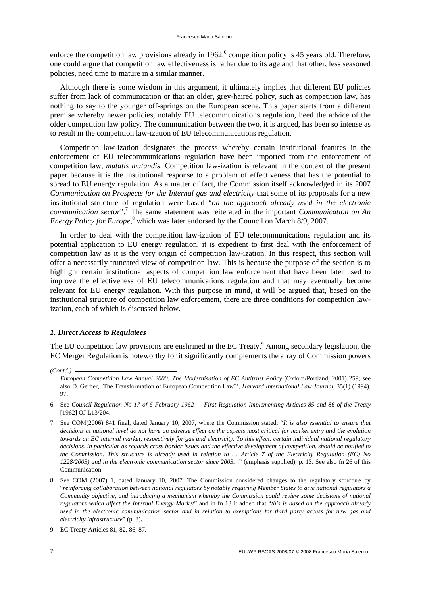enforce the competition law provisions already in  $1962$ ,  $6$  competition policy is 45 years old. Therefore, one could argue that competition law effectiveness is rather due to its age and that other, less seasoned policies, need time to mature in a similar manner.

Although there is some wisdom in this argument, it ultimately implies that different EU policies suffer from lack of communication or that an older, grey-haired policy, such as competition law, has nothing to say to the younger off-springs on the European scene. This paper starts from a different premise whereby newer policies, notably EU telecommunications regulation, heed the advice of the older competition law policy. The communication between the two, it is argued, has been so intense as to result in the competition law-ization of EU telecommunications regulation.

Competition law-ization designates the process whereby certain institutional features in the enforcement of EU telecommunications regulation have been imported from the enforcement of competition law, *mutatis mutandis*. Competition law-ization is relevant in the context of the present paper because it is the institutional response to a problem of effectiveness that has the potential to spread to EU energy regulation. As a matter of fact, the Commission itself acknowledged in its 2007 *Communication on Prospects for the Internal gas and electricity* that some of its proposals for a new institutional structure of regulation were based "*on the approach already used in the electronic communication sector*".<sup>7</sup> The same statement was reiterated in the important *Communication on An Energy Policy for Europe*,<sup>8</sup> which was later endorsed by the Council on March 8/9, 2007.

In order to deal with the competition law-ization of EU telecommunications regulation and its potential application to EU energy regulation, it is expedient to first deal with the enforcement of competition law as it is the very origin of competition law-ization. In this respect, this section will offer a necessarily truncated view of competition law. This is because the purpose of the section is to highlight certain institutional aspects of competition law enforcement that have been later used to improve the effectiveness of EU telecommunications regulation and that may eventually become relevant for EU energy regulation. With this purpose in mind, it will be argued that, based on the institutional structure of competition law enforcement, there are three conditions for competition lawization, each of which is discussed below.

#### *1. Direct Access to Regulatees*

The EU competition law provisions are enshrined in the EC Treaty.<sup>9</sup> Among secondary legislation, the EC Merger Regulation is noteworthy for it significantly complements the array of Commission powers

*<sup>(</sup>Contd.)* 

*European Competition Law Annual 2000: The Modernisation of EC Antitrust Policy* (Oxford/Portland, 2001) 259; see also D. Gerber, 'The Transformation of European Competition Law?', *Harvard International Law Journal*, 35(1) (1994), 97.

<sup>6</sup> See *Council Regulation No 17 of 6 February 1962 — First Regulation Implementing Articles 85 and 86 of the Treaty* [1962] OJ L13/204.

<sup>7</sup> See COM(2006) 841 final, dated January 10, 2007, where the Commission stated: "*It is also essential to ensure that decisions at national level do not have an adverse effect on the aspects most critical for market entry and the evolution towards an EC internal market, respectively for gas and electricity. To this effect, certain individual national regulatory decisions, in particular as regards cross border issues and the effective development of competition, should be notified to the Commission. This structure is already used in relation to … Article 7 of the Electricity Regulation (EC) No 1228/2003) and in the electronic communication sector since 2003…*" (emphasis supplied), p. 13. See also fn 26 of this Communication.

<sup>8</sup> See COM (2007) 1, dated January 10, 2007. The Commission considered changes to the regulatory structure by "*reinforcing collaboration between national regulators by notably requiring Member States to give national regulators a Community objective, and introducing a mechanism whereby the Commission could review some decisions of national regulators which affect the Internal Energy Market*" and in fn 13 it added that "*this is based on the approach already used in the electronic communication sector and in relation to exemptions for third party access for new gas and electricity infrastructure*" (p. 8).

<sup>9</sup> EC Treaty Articles 81, 82, 86, 87.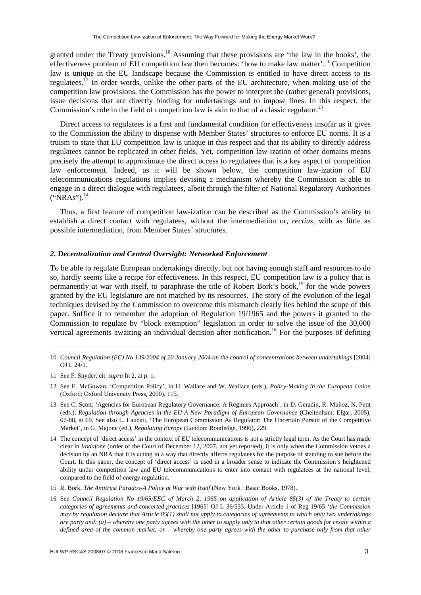granted under the Treaty provisions.<sup>10</sup> Assuming that these provisions are 'the law in the books', the effectiveness problem of EU competition law then becomes: 'how to make law matter'.11 Competition law is unique in the EU landscape because the Commission is entitled to have direct access to its regulatees.<sup>12</sup> In order words, unlike the other parts of the EU architecture, when making use of the competition law provisions, the Commission has the power to interpret the (rather general) provisions, issue decisions that are directly binding for undertakings and to impose fines. In this respect, the Commission's role in the field of competition law is akin to that of a classic regulator.<sup>13</sup>

Direct access to regulatees is a first and fundamental condition for effectiveness insofar as it gives to the Commission the ability to dispense with Member States' structures to enforce EU norms. It is a truism to state that EU competition law is unique in this respect and that its ability to directly address regulatees cannot be replicated in other fields. Yet, competition law-ization of other domains means precisely the attempt to approximate the direct access to regulatees that is a key aspect of competition law enforcement. Indeed, as it will be shown below, the competition law-ization of EU telecommunications regulations implies devising a mechanism whereby the Commission is able to engage in a direct dialogue with regulatees, albeit through the filter of National Regulatory Authorities  $("NRAs")$ .<sup>14</sup>

Thus, a first feature of competition law-ization can be described as the Commission's ability to establish a direct contact with regulatees, without the intermediation or, *rectius*, with as little as possible intermediation, from Member States' structures.

#### *2. Decentralization and Central Oversight: Networked Enforcement*

To be able to regulate European undertakings directly, but not having enough staff and resources to do so, hardly seems like a recipe for effectiveness. In this respect, EU competition law is a policy that is permanently at war with itself, to paraphrase the title of Robert Bork's book,<sup>15</sup> for the wide powers granted by the EU legislature are not matched by its resources. The story of the evolution of the legal techniques devised by the Commission to overcome this mismatch clearly lies behind the scope of this paper. Suffice it to remember the adoption of Regulation 19/1965 and the powers it granted to the Commission to regulate by "block exemption" legislation in order to solve the issue of the 30,000 vertical agreements awaiting an individual decision after notification.<sup>16</sup> For the purposes of defining

<sup>10</sup> *Council Regulation (EC) No 139/2004 of 20 January 2004 on the control of concentrations between undertakings* [2004] OJ L 24/1.

<sup>11</sup> See F. Snyder, cit. *supra* fn 2, at p. 1.

<sup>12</sup> See F. McGowan, 'Competition Policy', in H. Wallace and W. Wallace (eds.), *Policy-Making in the European Union* (Oxford: Oxford University Press, 2000), 115.

<sup>13</sup> See C. Scott, 'Agencies for European Regulatory Governance: A Regimes Approach', in D. Geradin, R. Muñoz, N. Petit (eds.), *Regulation through Agencies in the EU-A New Paradigm of European Governance* (Cheltenham: Elgar, 2005), 67-88, at 69. See also L. Laudati, 'The European Commission As Regulator: The Uncertain Pursuit of the Competitive Market', in G. Majone (ed.), *Regulating Europe* (London: Routledge, 1996), 229.

<sup>14</sup> The concept of 'direct access' in the context of EU telecommunications is not a strictly legal term. As the Court has made clear in *Vodafone* (order of the Court of December 12, 2007, not yet reported), it is only when the Commission vetoes a decision by an NRA that it is acting in a way that directly affects regulatees for the purpose of standing to sue before the Court. In this paper, the concept of 'direct access' is used in a broader sense to indicate the Commission's heightened ability under competition law and EU telecommunications to enter into contact with regulatees at the national level, compared to the field of energy regulation.

<sup>15</sup> R. Bork, *The Antitrust Paradox-A Policy at War with Itself* (New York : Basic Books, 1978).

<sup>16</sup> See *Council Regulation No 19/65/EEC of March 2, 1965 on application of Article 85(3) of the Treaty to certain categories of agreements and concerted practices* [1965] OJ L 36/533. Under Article 1 of Reg 19/65 '*the Commission may by regulation declare that Article 85(1) shall not apply to categories of agreements to which only two undertakings are party and: (a) – whereby one party agrees with the other to supply only to that other certain goods for resale within a defined area of the common market; or – whereby one party agrees with the other to purchase only from that other*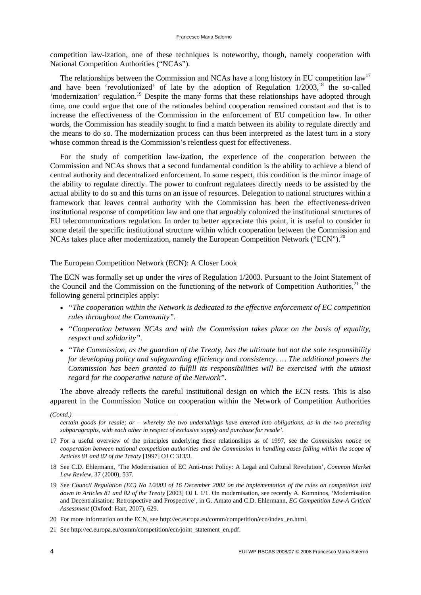competition law-ization, one of these techniques is noteworthy, though, namely cooperation with National Competition Authorities ("NCAs").

The relationships between the Commission and NCAs have a long history in EU competition law<sup>17</sup> and have been 'revolutionized' of late by the adoption of Regulation  $1/2003$ ,<sup>18</sup> the so-called 'modernization' regulation.<sup>19</sup> Despite the many forms that these relationships have adopted through time, one could argue that one of the rationales behind cooperation remained constant and that is to increase the effectiveness of the Commission in the enforcement of EU competition law. In other words, the Commission has steadily sought to find a match between its ability to regulate directly and the means to do so. The modernization process can thus been interpreted as the latest turn in a story whose common thread is the Commission's relentless quest for effectiveness.

For the study of competition law-ization, the experience of the cooperation between the Commission and NCAs shows that a second fundamental condition is the ability to achieve a blend of central authority and decentralized enforcement. In some respect, this condition is the mirror image of the ability to regulate directly. The power to confront regulatees directly needs to be assisted by the actual ability to do so and this turns on an issue of resources. Delegation to national structures within a framework that leaves central authority with the Commission has been the effectiveness-driven institutional response of competition law and one that arguably colonized the institutional structures of EU telecommunications regulation. In order to better appreciate this point, it is useful to consider in some detail the specific institutional structure within which cooperation between the Commission and NCAs takes place after modernization, namely the European Competition Network ("ECN").<sup>20</sup>

The European Competition Network (ECN): A Closer Look

The ECN was formally set up under the *vires* of Regulation 1/2003. Pursuant to the Joint Statement of the Council and the Commission on the functioning of the network of Competition Authorities, $^{21}$  the following general principles apply:

- *"The cooperation within the Network is dedicated to the effective enforcement of EC competition rules throughout the Community".*
- *"Cooperation between NCAs and with the Commission takes place on the basis of equality, respect and solidarity".*
- *"The Commission, as the guardian of the Treaty, has the ultimate but not the sole responsibility for developing policy and safeguarding efficiency and consistency. … The additional powers the Commission has been granted to fulfill its responsibilities will be exercised with the utmost regard for the cooperative nature of the Network".*

The above already reflects the careful institutional design on which the ECN rests. This is also apparent in the Commission Notice on cooperation within the Network of Competition Authorities

- 18 See C.D. Ehlermann, 'The Modernisation of EC Anti-trust Policy: A Legal and Cultural Revolution', *Common Market Law Review*, 37 (2000), 537.
- 19 See *Council Regulation (EC) No 1/2003 of 16 December 2002 on the implementation of the rules on competition laid down in Articles 81 and 82 of the Treaty* [2003] OJ L 1/1. On modernisation, see recently A. Komninos, 'Modernisation and Decentralisation: Retrospective and Prospective', in G. Amato and C.D. Ehlermann, *EC Competition Law-A Critical Assessment* (Oxford: Hart, 2007), 629.
- 20 For more information on the ECN, see http://ec.europa.eu/comm/competition/ecn/index\_en.html.
- 21 See http://ec.europa.eu/comm/competition/ecn/joint\_statement\_en.pdf.

*<sup>(</sup>Contd.)* 

*certain goods for resale; or – whereby the two undertakings have entered into obligations, as in the two preceding subparagraphs, with each other in respect of exclusive supply and purchase for resale'*.

<sup>17</sup> For a useful overview of the principles underlying these relationships as of 1997, see the *Commission notice on cooperation between national competition authorities and the Commission in handling cases falling within the scope of Articles 81 and 82 of the Treaty* [1997] OJ C 313/3.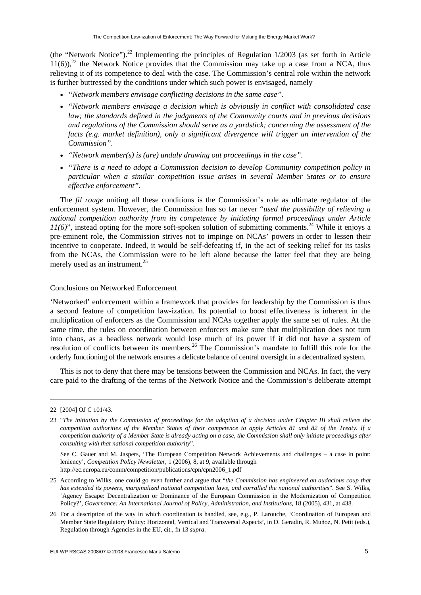(the "Network Notice").<sup>22</sup> Implementing the principles of Regulation  $1/2003$  (as set forth in Article  $11(6)$ ,<sup>23</sup> the Network Notice provides that the Commission may take up a case from a NCA, thus relieving it of its competence to deal with the case. The Commission's central role within the network is further buttressed by the conditions under which such power is envisaged, namely

- *"Network members envisage conflicting decisions in the same case".*
- *"Network members envisage a decision which is obviously in conflict with consolidated case law; the standards defined in the judgments of the Community courts and in previous decisions and regulations of the Commission should serve as a yardstick; concerning the assessment of the facts (e.g. market definition), only a significant divergence will trigger an intervention of the Commission".*
- *"Network member(s) is (are) unduly drawing out proceedings in the case".*
- *"There is a need to adopt a Commission decision to develop Community competition policy in particular when a similar competition issue arises in several Member States or to ensure effective enforcement".*

The *fil rouge* uniting all these conditions is the Commission's role as ultimate regulator of the enforcement system. However, the Commission has so far never "*used the possibility of relieving a national competition authority from its competence by initiating formal proceedings under Article*   $11(6)$ ", instead opting for the more soft-spoken solution of submitting comments.<sup>24</sup> While it enjoys a pre-eminent role, the Commission strives not to impinge on NCAs' powers in order to lessen their incentive to cooperate. Indeed, it would be self-defeating if, in the act of seeking relief for its tasks from the NCAs, the Commission were to be left alone because the latter feel that they are being merely used as an instrument.<sup>25</sup>

#### Conclusions on Networked Enforcement

'Networked' enforcement within a framework that provides for leadership by the Commission is thus a second feature of competition law-ization. Its potential to boost effectiveness is inherent in the multiplication of enforcers as the Commission and NCAs together apply the same set of rules. At the same time, the rules on coordination between enforcers make sure that multiplication does not turn into chaos, as a headless network would lose much of its power if it did not have a system of resolution of conflicts between its members.<sup>26</sup> The Commission's mandate to fulfill this role for the orderly functioning of the network ensures a delicate balance of central oversight in a decentralized system.

This is not to deny that there may be tensions between the Commission and NCAs. In fact, the very care paid to the drafting of the terms of the Network Notice and the Commission's deliberate attempt

<sup>22 [2004]</sup> OJ C 101/43.

<sup>23 &</sup>quot;*The initiation by the Commission of proceedings for the adoption of a decision under Chapter III shall relieve the competition authorities of the Member States of their competence to apply Articles 81 and 82 of the Treaty. If a competition authority of a Member State is already acting on a case, the Commission shall only initiate proceedings after consulting with that national competition authority*".

See C. Gauer and M. Jaspers, 'The European Competition Network Achievements and challenges – a case in point: leniency', *Competition Policy Newsletter*, 1 (2006), 8, at 9, available through http://ec.europa.eu/comm/competition/publications/cpn/cpn2006\_1.pdf

<sup>25</sup> According to Wilks, one could go even further and argue that "*the Commission has engineered an audacious coup that has extended its powers, marginalized national competition laws, and corralled the national authorities*". See S. Wilks, 'Agency Escape: Decentralization or Dominance of the European Commission in the Modernization of Competition Policy?', *Governance: An International Journal of Policy, Administration, and Institutions*, 18 (2005), 431, at 438.

<sup>26</sup> For a description of the way in which coordination is handled, see, e.g., P. Larouche, 'Coordination of European and Member State Regulatory Policy: Horizontal, Vertical and Transversal Aspects', in D. Geradin, R. Muñoz, N. Petit (eds.), Regulation through Agencies in the EU, cit., fn 13 *supra*.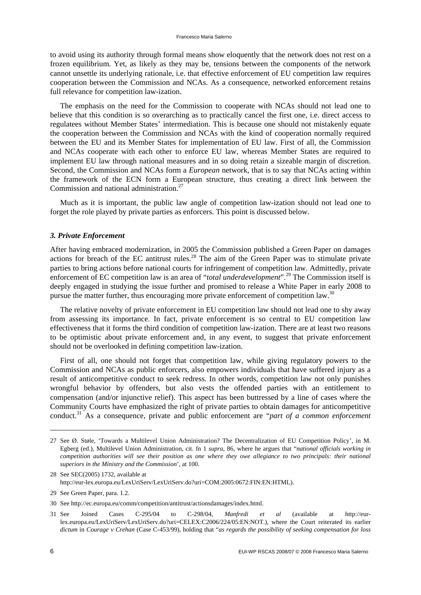to avoid using its authority through formal means show eloquently that the network does not rest on a frozen equilibrium. Yet, as likely as they may be, tensions between the components of the network cannot unsettle its underlying rationale, i.e. that effective enforcement of EU competition law requires cooperation between the Commission and NCAs. As a consequence, networked enforcement retains full relevance for competition law-ization.

The emphasis on the need for the Commission to cooperate with NCAs should not lead one to believe that this condition is so overarching as to practically cancel the first one, i.e. direct access to regulatees without Member States' intermediation. This is because one should not mistakenly equate the cooperation between the Commission and NCAs with the kind of cooperation normally required between the EU and its Member States for implementation of EU law. First of all, the Commission and NCAs cooperate with each other to enforce EU law, whereas Member States are required to implement EU law through national measures and in so doing retain a sizeable margin of discretion. Second, the Commission and NCAs form a *European* network, that is to say that NCAs acting within the framework of the ECN form a European structure, thus creating a direct link between the Commission and national administration.27

Much as it is important, the public law angle of competition law-ization should not lead one to forget the role played by private parties as enforcers. This point is discussed below.

## *3. Private Enforcement*

After having embraced modernization, in 2005 the Commission published a Green Paper on damages actions for breach of the EC antitrust rules.<sup>28</sup> The aim of the Green Paper was to stimulate private parties to bring actions before national courts for infringement of competition law. Admittedly, private enforcement of EC competition law is an area of "*total underdevelopment*".<sup>29</sup> The Commission itself is deeply engaged in studying the issue further and promised to release a White Paper in early 2008 to pursue the matter further, thus encouraging more private enforcement of competition law.<sup>30</sup>

The relative novelty of private enforcement in EU competition law should not lead one to shy away from assessing its importance. In fact, private enforcement is so central to EU competition law effectiveness that it forms the third condition of competition law-ization. There are at least two reasons to be optimistic about private enforcement and, in any event, to suggest that private enforcement should not be overlooked in defining competition law-ization.

First of all, one should not forget that competition law, while giving regulatory powers to the Commission and NCAs as public enforcers, also empowers individuals that have suffered injury as a result of anticompetitive conduct to seek redress. In other words, competition law not only punishes wrongful behavior by offenders, but also vests the offended parties with an entitlement to compensation (and/or injunctive relief). This aspect has been buttressed by a line of cases where the Community Courts have emphasized the right of private parties to obtain damages for anticompetitive conduct.31 As a consequence, private and public enforcement are "*part of a common enforcement* 

<sup>27</sup> See Ø. Støle, 'Towards a Multilevel Union Administration? The Decentralization of EU Competition Policy', in M. Egberg (ed.), Multilevel Union Administration, cit. fn 1 *supra*, 86, where he argues that "*national officials working in competition authorities will see their position as one where they owe allegiance to two principals: their national superiors in the Ministry and the Commission*', at 100.

<sup>28</sup> See SEC(2005) 1732, available at http://eur-lex.europa.eu/LexUriServ/LexUriServ.do?uri=COM:2005:0672:FIN:EN:HTML).

<sup>29</sup> See Green Paper, para. 1.2.

<sup>30</sup> See http://ec.europa.eu/comm/competition/antitrust/actionsdamages/index.html.

<sup>31</sup> See Joined Cases C-295/04 to C-298/04, *Manfredi et al* (available at http://eurlex.europa.eu/LexUriServ/LexUriServ.do?uri=CELEX:C2006/224/05:EN:NOT.), where the Court reiterated its earlier *dictum* in *Courage v Crehan* (Case C-453/99), holding that "*as regards the possibility of seeking compensation for loss*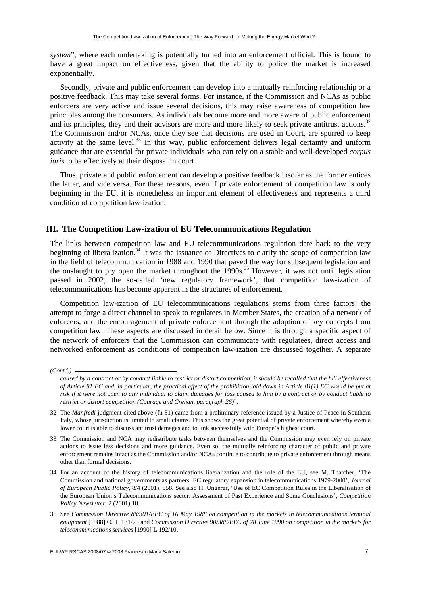*system*", where each undertaking is potentially turned into an enforcement official. This is bound to have a great impact on effectiveness, given that the ability to police the market is increased exponentially.

Secondly, private and public enforcement can develop into a mutually reinforcing relationship or a positive feedback. This may take several forms. For instance, if the Commission and NCAs as public enforcers are very active and issue several decisions, this may raise awareness of competition law principles among the consumers. As individuals become more and more aware of public enforcement and its principles, they and their advisors are more and more likely to seek private antitrust actions.<sup>32</sup> The Commission and/or NCAs, once they see that decisions are used in Court, are spurred to keep activity at the same level.<sup>33</sup> In this way, public enforcement delivers legal certainty and uniform guidance that are essential for private individuals who can rely on a stable and well-developed *corpus iuris* to be effectively at their disposal in court.

Thus, private and public enforcement can develop a positive feedback insofar as the former entices the latter, and vice versa. For these reasons, even if private enforcement of competition law is only beginning in the EU, it is nonetheless an important element of effectiveness and represents a third condition of competition law-ization.

### **III. The Competition Law-ization of EU Telecommunications Regulation**

The links between competition law and EU telecommunications regulation date back to the very beginning of liberalization.<sup>34</sup> It was the issuance of Directives to clarify the scope of competition law in the field of telecommunication in 1988 and 1990 that paved the way for subsequent legislation and the onslaught to pry open the market throughout the  $1990s$ .<sup>35</sup> However, it was not until legislation passed in 2002, the so-called 'new regulatory framework', that competition law-ization of telecommunications has become apparent in the structures of enforcement.

Competition law-ization of EU telecommunications regulations stems from three factors: the attempt to forge a direct channel to speak to regulatees in Member States, the creation of a network of enforcers, and the encouragement of private enforcement through the adoption of key concepts from competition law. These aspects are discussed in detail below. Since it is through a specific aspect of the network of enforcers that the Commission can communicate with regulatees, direct access and networked enforcement as conditions of competition law-ization are discussed together. A separate

*<sup>(</sup>Contd.)* 

*caused by a contract or by conduct liable to restrict or distort competition, it should be recalled that the full effectiveness of Article 81 EC and, in particular, the practical effect of the prohibition laid down in Article 81(1) EC would be put at risk if it were not open to any individual to claim damages for loss caused to him by a contract or by conduct liable to restrict or distort competition (Courage and Crehan, paragraph 26)*".

<sup>32</sup> The *Manfredi* judgment cited above (fn 31) came from a preliminary reference issued by a Justice of Peace in Southern Italy, whose jurisdiction is limited to small claims. This shows the great potential of private enforcement whereby even a lower court is able to discuss antitrust damages and to link successfully with Europe's highest court.

<sup>33</sup> The Commission and NCA may redistribute tasks between themselves and the Commission may even rely on private actions to issue less decisions and more guidance. Even so, the mutually reinforcing character of public and private enforcement remains intact as the Commission and/or NCAs continue to contribute to private enforcement through means other than formal decisions.

<sup>34</sup> For an account of the history of telecommunications liberalization and the role of the EU, see M. Thatcher, 'The Commission and national governments as partners: EC regulatory expansion in telecommunications 1979-2000', *Journal of European Public Policy*, 8/4 (2001), 558. See also H. Ungerer, 'Use of EC Competition Rules in the Liberalisation of the European Union's Telecommunications sector: Assessment of Past Experience and Some Conclusions', *Competition Policy Newsletter*, 2 (2001),18.

<sup>35</sup> See *Commission Directive 88/301/EEC of 16 May 1988 on competition in the markets in telecommunications terminal equipment* [1988] OJ L 131/73 and *Commission Directive 90/388/EEC of 28 June 1990 on competition in the markets for telecommunications services* [1990] L 192/10.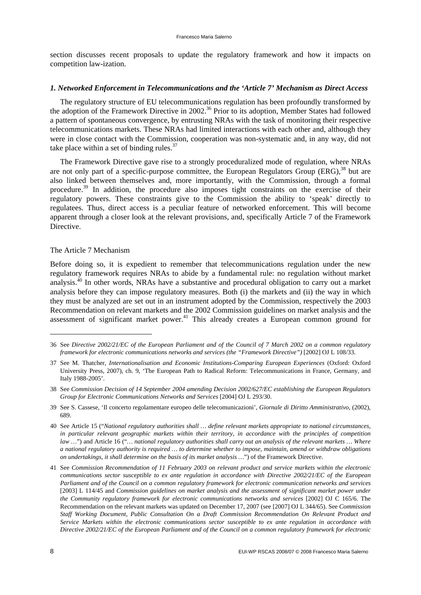section discusses recent proposals to update the regulatory framework and how it impacts on competition law-ization.

#### *1. Networked Enforcement in Telecommunications and the 'Article 7' Mechanism as Direct Access*

The regulatory structure of EU telecommunications regulation has been profoundly transformed by the adoption of the Framework Directive in 2002.<sup>36</sup> Prior to its adoption, Member States had followed a pattern of spontaneous convergence, by entrusting NRAs with the task of monitoring their respective telecommunications markets. These NRAs had limited interactions with each other and, although they were in close contact with the Commission, cooperation was non-systematic and, in any way, did not take place within a set of binding rules. $37$ 

The Framework Directive gave rise to a strongly proceduralized mode of regulation, where NRAs are not only part of a specific-purpose committee, the European Regulators Group  $(ERG)$ ,  $38$  but are also linked between themselves and, more importantly, with the Commission, through a formal procedure.<sup>39</sup> In addition, the procedure also imposes tight constraints on the exercise of their regulatory powers. These constraints give to the Commission the ability to 'speak' directly to regulatees. Thus, direct access is a peculiar feature of networked enforcement. This will become apparent through a closer look at the relevant provisions, and, specifically Article 7 of the Framework Directive.

#### The Article 7 Mechanism

Before doing so, it is expedient to remember that telecommunications regulation under the new regulatory framework requires NRAs to abide by a fundamental rule: no regulation without market analysis.40 In other words, NRAs have a substantive and procedural obligation to carry out a market analysis before they can impose regulatory measures. Both (i) the markets and (ii) the way in which they must be analyzed are set out in an instrument adopted by the Commission, respectively the 2003 Recommendation on relevant markets and the 2002 Commission guidelines on market analysis and the assessment of significant market power.<sup>41</sup> This already creates a European common ground for

<sup>36</sup> See *Directive 2002/21/EC of the European Parliament and of the Council of 7 March 2002 on a common regulatory framework for electronic communications networks and services (the "Framework Directive")* [2002] OJ L 108/33.

<sup>37</sup> See M. Thatcher, *Internationalisation and Economic Institutions-Comparing European Experiences* (Oxford: Oxford University Press, 2007), ch. 9, 'The European Path to Radical Reform: Telecommunications in France, Germany, and Italy 1988-2005'.

<sup>38</sup> See *Commission Decision of 14 September 2004 amending Decision 2002/627/EC establishing the European Regulators Group for Electronic Communications Networks and Services* [2004] OJ L 293/30.

<sup>39</sup> See S. Cassese, 'Il concerto regolamentare europeo delle telecomunicazioni', *Giornale di Diritto Amministrativo*, (2002)*,*  689.

<sup>40</sup> See Article 15 ("*National regulatory authorities shall … define relevant markets appropriate to national circumstances, in particular relevant geographic markets within their territory, in accordance with the principles of competition law …*") and Article 16 ("*… national regulatory authorities shall carry out an analysis of the relevant markets … Where a national regulatory authority is required … to determine whether to impose, maintain, amend or withdraw obligations on undertakings, it shall determine on the basis of its market analysis …*") of the Framework Directive.

<sup>41</sup> See *Commission Recommendation of 11 February 2003 on relevant product and service markets within the electronic communications sector susceptible to ex ante regulation in accordance with Directive 2002/21/EC of the European Parliament and of the Council on a common regulatory framework for electronic communication networks and services* [2003] L 114/45 and *Commission guidelines on market analysis and the assessment of significant market power under the Community regulatory framework for electronic communications networks and services* [2002] OJ C 165/6. The Recommendation on the relevant markets was updated on December 17, 2007 (see [2007] OJ L 344/65). See *Commission Staff Working Document, Public Consultation On a Draft Commission Recommendation On Relevant Product and Service Markets within the electronic communications sector susceptible to ex ante regulation in accordance with Directive 2002/21/EC of the European Parliament and of the Council on a common regulatory framework for electronic*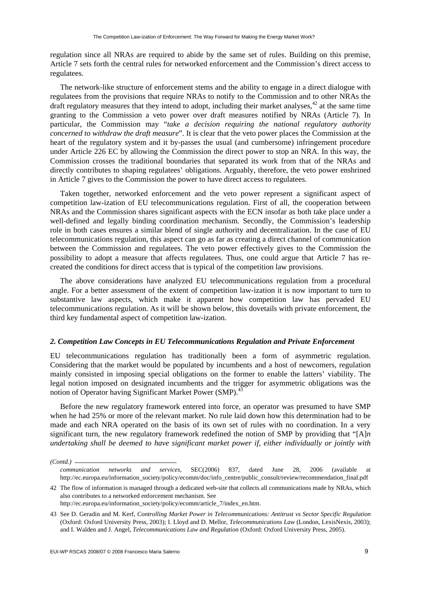regulation since all NRAs are required to abide by the same set of rules. Building on this premise, Article 7 sets forth the central rules for networked enforcement and the Commission's direct access to regulatees.

The network-like structure of enforcement stems and the ability to engage in a direct dialogue with regulatees from the provisions that require NRAs to notify to the Commission and to other NRAs the draft regulatory measures that they intend to adopt, including their market analyses,  $42$  at the same time granting to the Commission a veto power over draft measures notified by NRAs (Article 7). In particular, the Commission may "*take a decision requiring the national regulatory authority concerned to withdraw the draft measure*". It is clear that the veto power places the Commission at the heart of the regulatory system and it by-passes the usual (and cumbersome) infringement procedure under Article 226 EC by allowing the Commission the direct power to stop an NRA. In this way, the Commission crosses the traditional boundaries that separated its work from that of the NRAs and directly contributes to shaping regulatees' obligations. Arguably, therefore, the veto power enshrined in Article 7 gives to the Commission the power to have direct access to regulatees.

Taken together, networked enforcement and the veto power represent a significant aspect of competition law-ization of EU telecommunications regulation. First of all, the cooperation between NRAs and the Commission shares significant aspects with the ECN insofar as both take place under a well-defined and legally binding coordination mechanism. Secondly, the Commission's leadership role in both cases ensures a similar blend of single authority and decentralization. In the case of EU telecommunications regulation, this aspect can go as far as creating a direct channel of communication between the Commission and regulatees. The veto power effectively gives to the Commission the possibility to adopt a measure that affects regulatees. Thus, one could argue that Article 7 has recreated the conditions for direct access that is typical of the competition law provisions.

The above considerations have analyzed EU telecommunications regulation from a procedural angle. For a better assessment of the extent of competition law-ization it is now important to turn to substantive law aspects, which make it apparent how competition law has pervaded EU telecommunications regulation. As it will be shown below, this dovetails with private enforcement, the third key fundamental aspect of competition law-ization.

#### *2. Competition Law Concepts in EU Telecommunications Regulation and Private Enforcement*

EU telecommunications regulation has traditionally been a form of asymmetric regulation. Considering that the market would be populated by incumbents and a host of newcomers, regulation mainly consisted in imposing special obligations on the former to enable the latters' viability. The legal notion imposed on designated incumbents and the trigger for asymmetric obligations was the notion of Operator having Significant Market Power (SMP).<sup>43</sup>

Before the new regulatory framework entered into force, an operator was presumed to have SMP when he had 25% or more of the relevant market. No rule laid down how this determination had to be made and each NRA operated on the basis of its own set of rules with no coordination. In a very significant turn, the new regulatory framework redefined the notion of SMP by providing that "[A]*n undertaking shall be deemed to have significant market power if, either individually or jointly with* 

42 The flow of information is managed through a dedicated web-site that collects all communications made by NRAs, which also contributes to a networked enforcement mechanism. See

*<sup>(</sup>Contd.)* 

*communication networks and services*, SEC(2006) 837, dated June 28, 2006 (available at http://ec.europa.eu/information\_society/policy/ecomm/doc/info\_centre/public\_consult/review/recommendation\_final.pdf

http://ec.europa.eu/information\_society/policy/ecomm/article\_7/index\_en.htm.

<sup>43</sup> See D. Geradin and M. Kerf, *Controlling Market Power in Telecommunications: Antitrust vs Sector Specific Regulation*  (Oxford: Oxford University Press, 2003); I. Lloyd and D. Mellor, *Telecommunications Law* (London, LexisNexis, 2003); and I. Walden and J. Angel, *Telecommunications Law and Regulation* (Oxford: Oxford University Press, 2005).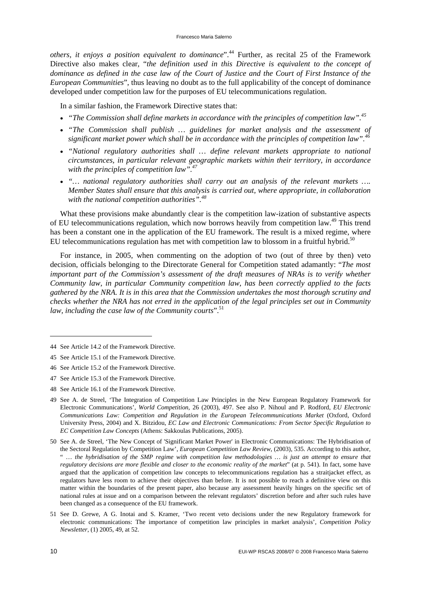*others, it enjoys a position equivalent to dominance*".44 Further, as recital 25 of the Framework Directive also makes clear, "*the definition used in this Directive is equivalent to the concept of dominance as defined in the case law of the Court of Justice and the Court of First Instance of the European Communities*", thus leaving no doubt as to the full applicability of the concept of dominance developed under competition law for the purposes of EU telecommunications regulation.

In a similar fashion, the Framework Directive states that:

- *"The Commission shall define markets in accordance with the principles of competition law".45*
- *"The Commission shall publish … guidelines for market analysis and the assessment of significant market power which shall be in accordance with the principles of competition law".46*
- *"National regulatory authorities shall … define relevant markets appropriate to national circumstances, in particular relevant geographic markets within their territory, in accordance with the principles of competition law".47*
- *"… national regulatory authorities shall carry out an analysis of the relevant markets …. Member States shall ensure that this analysis is carried out, where appropriate, in collaboration with the national competition authorities".48*

What these provisions make abundantly clear is the competition law-ization of substantive aspects of EU telecommunications regulation, which now borrows heavily from competition law.49 This trend has been a constant one in the application of the EU framework. The result is a mixed regime, where EU telecommunications regulation has met with competition law to blossom in a fruitful hybrid.<sup>50</sup>

For instance, in 2005, when commenting on the adoption of two (out of three by then) veto decision, officials belonging to the Directorate General for Competition stated adamantly: "*The most important part of the Commission's assessment of the draft measures of NRAs is to verify whether Community law, in particular Community competition law, has been correctly applied to the facts gathered by the NRA. It is in this area that the Commission undertakes the most thorough scrutiny and checks whether the NRA has not erred in the application of the legal principles set out in Community law, including the case law of the Community courts*".<sup>51</sup>

<sup>44</sup> See Article 14.2 of the Framework Directive.

<sup>45</sup> See Article 15.1 of the Framework Directive.

<sup>46</sup> See Article 15.2 of the Framework Directive.

<sup>47</sup> See Article 15.3 of the Framework Directive.

<sup>48</sup> See Article 16.1 of the Framework Directive.

<sup>49</sup> See A. de Streel, 'The Integration of Competition Law Principles in the New European Regulatory Framework for Electronic Communications', *World Competition*, 26 (2003), 497. See also P. Nihoul and P. Rodford, *EU Electronic Communications Law: Competition and Regulation in the European Telecommunications Market* (Oxford, Oxford University Press, 2004) and X. Bitzidou, *EC Law and Electronic Communications: From Sector Specific Regulation to EC Competition Law Concepts* (Athens: Sakkoulas Publications, 2005).

<sup>50</sup> See A. de Streel, 'The New Concept of 'Significant Market Power' in Electronic Communications: The Hybridisation of the Sectoral Regulation by Competition Law', *European Competition Law Review*, (2003), 535. According to this author, " … *the hybridisation of the SMP regime with competition law methodologies … is just an attempt to ensure that regulatory decisions are more flexible and closer to the economic reality of the market*" (at p. 541). In fact, some have argued that the application of competition law concepts to telecommunications regulation has a straitjacket effect, as regulators have less room to achieve their objectives than before. It is not possible to reach a definitive view on this matter within the boundaries of the present paper, also because any assessment heavily hinges on the specific set of national rules at issue and on a comparison between the relevant regulators' discretion before and after such rules have been changed as a consequence of the EU framework.

<sup>51</sup> See D. Grewe, A G. Inotai and S. Kramer, 'Two recent veto decisions under the new Regulatory framework for electronic communications: The importance of competition law principles in market analysis', *Competition Policy Newsletter*, (1) 2005, 49, at 52.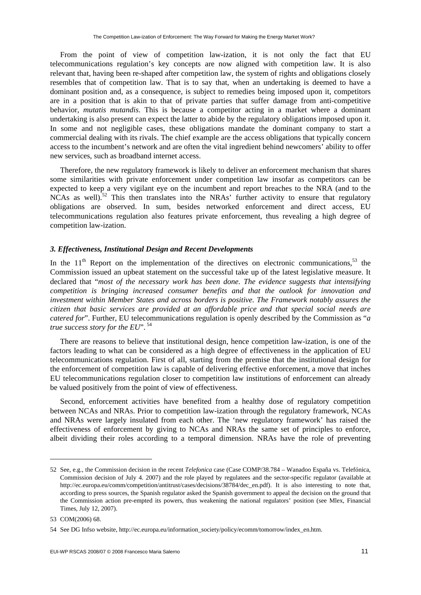From the point of view of competition law-ization, it is not only the fact that EU telecommunications regulation's key concepts are now aligned with competition law. It is also relevant that, having been re-shaped after competition law, the system of rights and obligations closely resembles that of competition law. That is to say that, when an undertaking is deemed to have a dominant position and, as a consequence, is subject to remedies being imposed upon it, competitors are in a position that is akin to that of private parties that suffer damage from anti-competitive behavior, *mutatis mutandis*. This is because a competitor acting in a market where a dominant undertaking is also present can expect the latter to abide by the regulatory obligations imposed upon it. In some and not negligible cases, these obligations mandate the dominant company to start a commercial dealing with its rivals. The chief example are the access obligations that typically concern access to the incumbent's network and are often the vital ingredient behind newcomers' ability to offer new services, such as broadband internet access.

Therefore, the new regulatory framework is likely to deliver an enforcement mechanism that shares some similarities with private enforcement under competition law insofar as competitors can be expected to keep a very vigilant eye on the incumbent and report breaches to the NRA (and to the  $NCAs$  as well).<sup>52</sup> This then translates into the NRAs' further activity to ensure that regulatory obligations are observed. In sum, besides networked enforcement and direct access, EU telecommunications regulation also features private enforcement, thus revealing a high degree of competition law-ization.

## *3. Effectiveness, Institutional Design and Recent Developments*

In the  $11<sup>th</sup>$  Report on the implementation of the directives on electronic communications,  $5<sup>3</sup>$  the Commission issued an upbeat statement on the successful take up of the latest legislative measure. It declared that "*most of the necessary work has been done. The evidence suggests that intensifying competition is bringing increased consumer benefits and that the outlook for innovation and investment within Member States and across borders is positive. The Framework notably assures the citizen that basic services are provided at an affordable price and that special social needs are catered for*". Further, EU telecommunications regulation is openly described by the Commission as "*a true success story for the EU".*<sup>54</sup>

There are reasons to believe that institutional design, hence competition law-ization, is one of the factors leading to what can be considered as a high degree of effectiveness in the application of EU telecommunications regulation. First of all, starting from the premise that the institutional design for the enforcement of competition law is capable of delivering effective enforcement, a move that inches EU telecommunications regulation closer to competition law institutions of enforcement can already be valued positively from the point of view of effectiveness.

Second, enforcement activities have benefited from a healthy dose of regulatory competition between NCAs and NRAs. Prior to competition law-ization through the regulatory framework, NCAs and NRAs were largely insulated from each other. The 'new regulatory framework' has raised the effectiveness of enforcement by giving to NCAs and NRAs the same set of principles to enforce, albeit dividing their roles according to a temporal dimension. NRAs have the role of preventing

<sup>52</sup> See, e.g., the Commission decision in the recent *Telefonica* case (Case COMP/38.784 – Wanadoo España vs. Telefónica, Commission decision of July 4. 2007) and the role played by regulatees and the sector-specific regulator (available at http://ec.europa.eu/comm/competition/antitrust/cases/decisions/38784/dec\_en.pdf). It is also interesting to note that, according to press sources, the Spanish regulator asked the Spanish government to appeal the decision on the ground that the Commission action pre-empted its powers, thus weakening the national regulators' position (see Mlex, Financial Times, July 12, 2007).

<sup>53</sup> COM(2006) 68.

<sup>54</sup> See DG Infso website, http://ec.europa.eu/information\_society/policy/ecomm/tomorrow/index\_en.htm.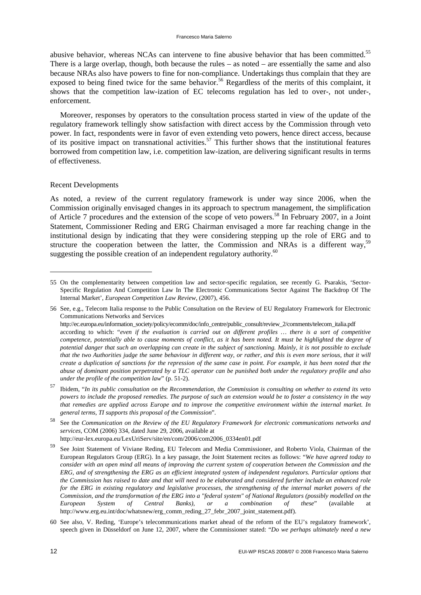abusive behavior, whereas NCAs can intervene to fine abusive behavior that has been committed.<sup>55</sup> There is a large overlap, though, both because the rules – as noted – are essentially the same and also because NRAs also have powers to fine for non-compliance. Undertakings thus complain that they are exposed to being fined twice for the same behavior.<sup>56</sup> Regardless of the merits of this complaint, it shows that the competition law-ization of EC telecoms regulation has led to over-, not under-, enforcement.

Moreover, responses by operators to the consultation process started in view of the update of the regulatory framework tellingly show satisfaction with direct access by the Commission through veto power. In fact, respondents were in favor of even extending veto powers, hence direct access, because of its positive impact on transnational activities.<sup>57</sup> This further shows that the institutional features borrowed from competition law, i.e. competition law-ization, are delivering significant results in terms of effectiveness.

#### Recent Developments

1

As noted, a review of the current regulatory framework is under way since 2006, when the Commission originally envisaged changes in its approach to spectrum management, the simplification of Article 7 procedures and the extension of the scope of veto powers.58 In February 2007, in a Joint Statement, Commissioner Reding and ERG Chairman envisaged a more far reaching change in the institutional design by indicating that they were considering stepping up the role of ERG and to structure the cooperation between the latter, the Commission and NRAs is a different way,<sup>59</sup> suggesting the possible creation of an independent regulatory authority.<sup>60</sup>

<sup>55</sup> On the complementarity between competition law and sector-specific regulation, see recently G. Psarakis, 'Sector-Specific Regulation And Competition Law In The Electronic Communications Sector Against The Backdrop Of The Internal Market', *European Competition Law Review*, (2007), 456.

<sup>56</sup> See, e.g., Telecom Italia response to the Public Consultation on the Review of EU Regulatory Framework for Electronic Communications Networks and Services

http://ec.europa.eu/information\_society/policy/ecomm/doc/info\_centre/public\_consult/review\_2/comments/telecom\_italia.pdf according to which: "*even if the evaluation is carried out on different profiles … there is a sort of competitive competence, potentially able to cause moments of conflict, as it has been noted. It must be highlighted the degree of potential danger that such an overlapping can create in the subject of sanctioning. Mainly, it is not possible to exclude that the two Authorities judge the same behaviour in different way, or rather, and this is even more serious, that it will create a duplication of sanctions for the repression of the same case in point. For example, it has been noted that the abuse of dominant position perpetrated by a TLC operator can be punished both under the regulatory profile and also under the profile of the competition law*" (p. 51-2).

<sup>57</sup> Ibidem, "*In its public consultation on the Recommendation, the Commission is consulting on whether to extend its veto powers to include the proposed remedies. The purpose of such an extension would be to foster a consistency in the way that remedies are applied across Europe and to improve the competitive environment within the internal market. In general terms, TI supports this proposal of the Commission*".

<sup>58</sup> See the *Communication on the Review of the EU Regulatory Framework for electronic communications networks and services*, COM (2006) 334, dated June 29, 2006, available at http://eur-lex.europa.eu/LexUriServ/site/en/com/2006/com2006\_0334en01.pdf

<sup>59</sup> See Joint Statement of Viviane Reding, EU Telecom and Media Commissioner, and Roberto Viola, Chairman of the European Regulators Group (ERG). In a key passage, the Joint Statement recites as follows: "*We have agreed today to consider with an open mind all means of improving the current system of cooperation between the Commission and the ERG, and of strengthening the ERG as an efficient integrated system of independent regulators. Particular options that the Commission has raised to date and that will need to be elaborated and considered further include an enhanced role for the ERG in existing regulatory and legislative processes, the strengthening of the internal market powers of the Commission, and the transformation of the ERG into a "federal system" of National Regulators (possibly modelled on the European System of Central Banks), or a combination of these*" (available at http://www.erg.eu.int/doc/whatsnew/erg\_comm\_reding\_27\_febr\_2007\_joint\_statement.pdf).

<sup>60</sup> See also, V. Reding, 'Europe's telecommunications market ahead of the reform of the EU's regulatory framework', speech given in Düsseldorf on June 12, 2007, where the Commissioner stated: "*Do we perhaps ultimately need a new*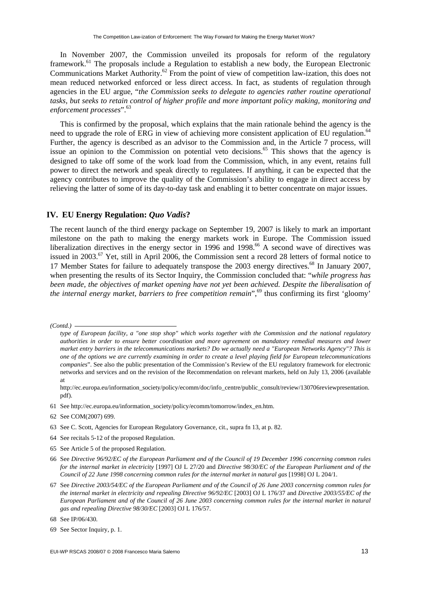In November 2007, the Commission unveiled its proposals for reform of the regulatory framework.<sup>61</sup> The proposals include a Regulation to establish a new body, the European Electronic Communications Market Authority.62 From the point of view of competition law-ization, this does not mean reduced networked enforced or less direct access. In fact, as students of regulation through agencies in the EU argue, "*the Commission seeks to delegate to agencies rather routine operational tasks, but seeks to retain control of higher profile and more important policy making, monitoring and enforcement processes*".63

This is confirmed by the proposal, which explains that the main rationale behind the agency is the need to upgrade the role of ERG in view of achieving more consistent application of EU regulation.<sup>64</sup> Further, the agency is described as an advisor to the Commission and, in the Article 7 process, will issue an opinion to the Commission on potential veto decisions.<sup>65</sup> This shows that the agency is designed to take off some of the work load from the Commission, which, in any event, retains full power to direct the network and speak directly to regulatees. If anything, it can be expected that the agency contributes to improve the quality of the Commission's ability to engage in direct access by relieving the latter of some of its day-to-day task and enabling it to better concentrate on major issues.

## **IV. EU Energy Regulation:** *Quo Vadis***?**

The recent launch of the third energy package on September 19, 2007 is likely to mark an important milestone on the path to making the energy markets work in Europe. The Commission issued liberalization directives in the energy sector in 1996 and 1998.<sup>66</sup> A second wave of directives was issued in 2003.<sup>67</sup> Yet, still in April 2006, the Commission sent a record 28 letters of formal notice to 17 Member States for failure to adequately transpose the 2003 energy directives.<sup>68</sup> In January 2007, when presenting the results of its Sector Inquiry, the Commission concluded that: "*while progress has been made, the objectives of market opening have not yet been achieved. Despite the liberalisation of the internal energy market, barriers to free competition remain*",<sup>69</sup> thus confirming its first 'gloomy'

- 61 See http://ec.europa.eu/information\_society/policy/ecomm/tomorrow/index\_en.htm.
- 62 See COM(2007) 699.
- 63 See C. Scott, Agencies for European Regulatory Governance, cit., supra fn 13, at p. 82.
- 64 See recitals 5-12 of the proposed Regulation.
- 65 See Article 5 of the proposed Regulation.
- 66 See *Directive 96/92/EC of the European Parliament and of the Council of 19 December 1996 concerning common rules for the internal market in electricity* [1997] OJ L 27/20 and *Directive 98/30/EC of the European Parliament and of the Council of 22 June 1998 concerning common rules for the internal market in natural gas* [1998] OJ L 204/1.

*<sup>(</sup>Contd.)* 

*type of European facility, a "one stop shop" which works together with the Commission and the national regulatory authorities in order to ensure better coordination and more agreement on mandatory remedial measures and lower market entry barriers in the telecommunications markets? Do we actually need a "European Networks Agency"? This is one of the options we are currently examining in order to create a level playing field for European telecommunications companies*". See also the public presentation of the Commission's Review of the EU regulatory framework for electronic networks and services and on the revision of the Recommendation on relevant markets, held on July 13, 2006 (available at

http://ec.europa.eu/information\_society/policy/ecomm/doc/info\_centre/public\_consult/review/130706reviewpresentation. pdf).

<sup>67</sup> See *Directive 2003/54/EC of the European Parliament and of the Council of 26 June 2003 concerning common rules for the internal market in electricity and repealing Directive 96/92/EC* [2003] OJ L 176/37 and *Directive 2003/55/EC of the European Parliament and of the Council of 26 June 2003 concerning common rules for the internal market in natural gas and repealing Directive 98/30/EC* [2003] OJ L 176/57.

<sup>68</sup> See IP/06/430.

<sup>69</sup> See Sector Inquiry, p. 1.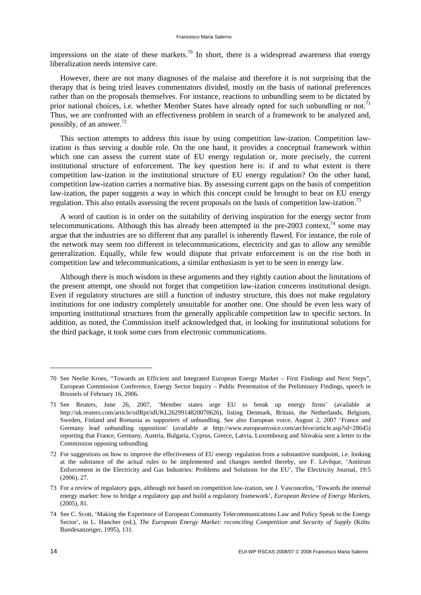impressions on the state of these markets.<sup>70</sup> In short, there is a widespread awareness that energy liberalization needs intensive care.

However, there are not many diagnoses of the malaise and therefore it is not surprising that the therapy that is being tried leaves commentators divided, mostly on the basis of national preferences rather than on the proposals themselves. For instance, reactions to unbundling seem to be dictated by prior national choices, i.e. whether Member States have already opted for such unbundling or not.<sup>71</sup> Thus, we are confronted with an effectiveness problem in search of a framework to be analyzed and, possibly, of an answer. $^{72}$ 

This section attempts to address this issue by using competition law-ization. Competition lawization is thus serving a double role. On the one hand, it provides a conceptual framework within which one can assess the current state of EU energy regulation or, more precisely, the current institutional structure of enforcement. The key question here is: if and to what extent is there competition law-ization in the institutional structure of EU energy regulation? On the other hand, competition law-ization carries a normative bias. By assessing current gaps on the basis of competition law-ization, the paper suggests a way in which this concept could be brought to bear on EU energy regulation. This also entails assessing the recent proposals on the basis of competition law-ization.<sup>73</sup>

A word of caution is in order on the suitability of deriving inspiration for the energy sector from telecommunications. Although this has already been attempted in the pre-2003 context, $^{74}$  some may argue that the industries are so different that any parallel is inherently flawed. For instance, the role of the network may seem too different in telecommunications, electricity and gas to allow any sensible generalization. Equally, while few would dispute that private enforcement is on the rise both in competition law and telecommunications, a similar enthusiasm is yet to be seen in energy law.

Although there is much wisdom in these arguments and they rightly caution about the limitations of the present attempt, one should not forget that competition law-ization concerns institutional design. Even if regulatory structures are still a function of industry structure, this does not make regulatory institutions for one industry completely unsuitable for another one. One should be even less wary of importing institutional structures from the generally applicable competition law to specific sectors. In addition, as noted, the Commission itself acknowledged that, in looking for institutional solutions for the third package, it took some cues from electronic communications.

<sup>70</sup> See Neelie Kroes, "Towards an Efficient and Integrated European Energy Market – First Findings and Next Steps", European Commission Conference, Energy Sector Inquiry – Public Presentation of the Preliminary Findings, speech in Brussels of February 16, 2006.

<sup>71</sup> See Reuters, June 26, 2007, 'Member states urge EU to break up energy firms' (available at http://uk.reuters.com/article/oilRpt/idUKL2629914820070626), listing Denmark, Britain, the Netherlands, Belgium, Sweden, Finland and Romania as supporters of unbundling. See also European voice, August 2, 2007 'France and Germany lead unbundling opposition' (available at http://www.europeanvoice.com/archive/article.asp?id=28645) reporting that France, Germany, Austria, Bulgaria, Cyprus, Greece, Latvia, Luxembourg and Slovakia sent a letter to the Commission opposing unbundling

<sup>72</sup> For suggestions on how to improve the effectiveness of EU energy regulation from a substantive standpoint, i.e. looking at the substance of the actual rules to be implemented and changes needed thereby, see F. Lévêque, 'Antitrust Enforcement in the Electricity and Gas Industries: Problems and Solutions for the EU', The Electricity Journal, 19:5 (2006), 27.

<sup>73</sup> For a review of regulatory gaps, although not based on competition law-ization, see J. Vasconcelos, 'Towards the internal energy market: how to bridge a regulatory gap and build a regulatory framework', *European Review of Energy Markets*, (2005), 81.

<sup>74</sup> See C. Scott, 'Making the Experience of European Community Telecommunications Law and Policy Speak to the Energy Sector', in L. Hancher (ed.), *The European Energy Market: reconciling Competition and Security of Supply* (Köln: Bundesanzeiger, 1995), 131.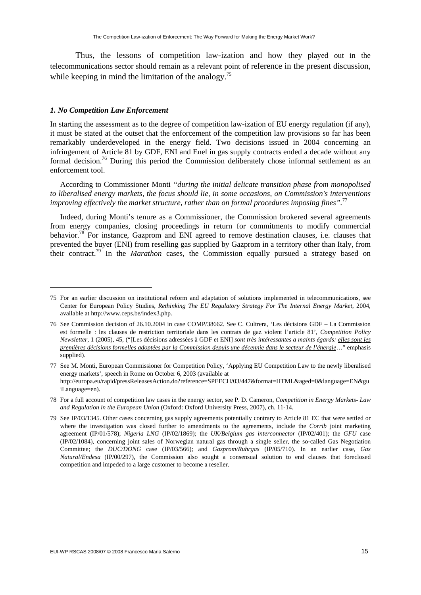Thus, the lessons of competition law-ization and how they played out in the telecommunications sector should remain as a relevant point of reference in the present discussion, while keeping in mind the limitation of the analogy.<sup>75</sup>

#### *1. No Competition Law Enforcement*

1

In starting the assessment as to the degree of competition law-ization of EU energy regulation (if any), it must be stated at the outset that the enforcement of the competition law provisions so far has been remarkably underdeveloped in the energy field. Two decisions issued in 2004 concerning an infringement of Article 81 by GDF, ENI and Enel in gas supply contracts ended a decade without any formal decision.76 During this period the Commission deliberately chose informal settlement as an enforcement tool.

According to Commissioner Monti *"during the initial delicate transition phase from monopolised to liberalised energy markets, the focus should lie, in some occasions, on Commission's interventions improving effectively the market structure, rather than on formal procedures imposing fines".*77

Indeed, during Monti's tenure as a Commissioner, the Commission brokered several agreements from energy companies, closing proceedings in return for commitments to modify commercial behavior.<sup>78</sup> For instance, Gazprom and ENI agreed to remove destination clauses, i.e. clauses that prevented the buyer (ENI) from reselling gas supplied by Gazprom in a territory other than Italy, from their contract.79 In the *Marathon* cases, the Commission equally pursued a strategy based on

<sup>75</sup> For an earlier discussion on institutional reform and adaptation of solutions implemented in telecommunications, see Center for European Policy Studies, *Rethinking The EU Regulatory Strategy For The Internal Energy Market*, 2004, available at http://www.ceps.be/index3.php.

<sup>76</sup> See Commission decision of 26.10.2004 in case COMP/38662. See C. Cultrera, 'Les décisions GDF – La Commission est formelle : les clauses de restriction territoriale dans les contrats de gaz violent l'article 81', *Competition Policy Newsletter*, 1 (2005), 45, ("[Les décisions adressées à GDF et ENI] *sont très intéressantes a maints égards: elles sont les premières décisions formelles adoptées par la Commission depuis une décennie dans le secteur de l'énergie*…" emphasis supplied).

<sup>77</sup> See M. Monti, European Commissioner for Competition Policy, 'Applying EU Competition Law to the newly liberalised energy markets', speech in Rome on October 6, 2003 (available at http://europa.eu/rapid/pressReleasesAction.do?reference=SPEECH/03/447&format=HTML&aged=0&language=EN&gu iLanguage=en).

<sup>78</sup> For a full account of competition law cases in the energy sector, see P. D. Cameron, *Competition in Energy Markets- Law and Regulation in the European Union* (Oxford: Oxford University Press, 2007), ch. 11-14.

<sup>79</sup> See IP/03/1345. Other cases concerning gas supply agreements potentially contrary to Article 81 EC that were settled or where the investigation was closed further to amendments to the agreements, include the *Corrib* joint marketing agreement (IP/01/578); *Nigeria LNG* (IP/02/1869); the *UK/Belgium gas interconnector* (IP/02/401); the *GFU* case (IP/02/1084), concerning joint sales of Norwegian natural gas through a single seller, the so-called Gas Negotiation Committee; the *DUC/DONG* case (IP/03/566); and *Gazprom/Ruhrgas* (IP/05/710). In an earlier case, *Gas Natural/Endesa* (IP/00/297), the Commission also sought a consensual solution to end clauses that foreclosed competition and impeded to a large customer to become a reseller.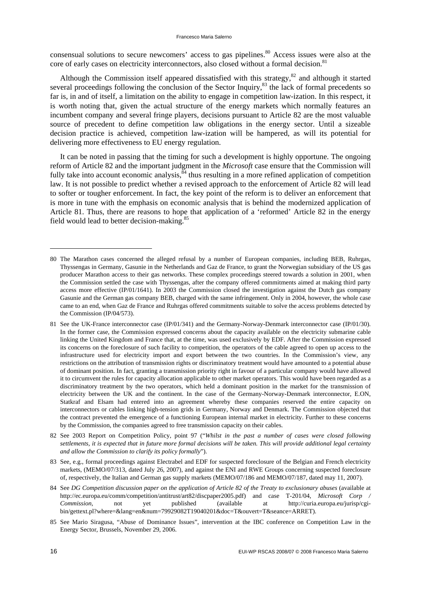consensual solutions to secure newcomers' access to gas pipelines.<sup>80</sup> Access issues were also at the core of early cases on electricity interconnectors, also closed without a formal decision.<sup>81</sup>

Although the Commission itself appeared dissatisfied with this strategy, $82$  and although it started several proceedings following the conclusion of the Sector Inquiry,<sup>83</sup> the lack of formal precedents so far is, in and of itself, a limitation on the ability to engage in competition law-ization. In this respect, it is worth noting that, given the actual structure of the energy markets which normally features an incumbent company and several fringe players, decisions pursuant to Article 82 are the most valuable source of precedent to define competition law obligations in the energy sector. Until a sizeable decision practice is achieved, competition law-ization will be hampered, as will its potential for delivering more effectiveness to EU energy regulation.

It can be noted in passing that the timing for such a development is highly opportune. The ongoing reform of Article 82 and the important judgment in the *Microsoft* case ensure that the Commission will fully take into account economic analysis,  $\frac{84}{4}$  thus resulting in a more refined application of competition law. It is not possible to predict whether a revised approach to the enforcement of Article 82 will lead to softer or tougher enforcement. In fact, the key point of the reform is to deliver an enforcement that is more in tune with the emphasis on economic analysis that is behind the modernized application of Article 81. Thus, there are reasons to hope that application of a 'reformed' Article 82 in the energy field would lead to better decision-making.<sup>85</sup>

<sup>80</sup> The Marathon cases concerned the alleged refusal by a number of European companies, including BEB, Ruhrgas, Thyssengas in Germany, Gasunie in the Netherlands and Gaz de France, to grant the Norwegian subsidiary of the US gas producer Marathon access to their gas networks. These complex proceedings steered towards a solution in 2001, when the Commission settled the case with Thyssengas, after the company offered commitments aimed at making third party access more effective (IP/01/1641). In 2003 the Commission closed the investigation against the Dutch gas company Gasunie and the German gas company BEB, charged with the same infringement. Only in 2004, however, the whole case came to an end, when Gaz de France and Ruhrgas offered commitments suitable to solve the access problems detected by the Commission (IP/04/573).

<sup>81</sup> See the UK-France interconnector case (IP/01/341) and the Germany-Norway-Denmark interconnector case (IP/01/30). In the former case, the Commission expressed concerns about the capacity available on the electricity submarine cable linking the United Kingdom and France that, at the time, was used exclusively by EDF. After the Commission expressed its concerns on the foreclosure of such facility to competition, the operators of the cable agreed to open up access to the infrastructure used for electricity import and export between the two countries. In the Commission's view, any restrictions on the attribution of transmission rights or discriminatory treatment would have amounted to a potential abuse of dominant position. In fact, granting a transmission priority right in favour of a particular company would have allowed it to circumvent the rules for capacity allocation applicable to other market operators. This would have been regarded as a discriminatory treatment by the two operators, which held a dominant position in the market for the transmission of electricity between the UK and the continent. In the case of the Germany-Norway-Denmark interconnector, E.ON, Statkraf and Elsam had entered into an agreement whereby these companies reserved the entire capacity on interconnectors or cables linking high-tension grids in Germany, Norway and Denmark. The Commission objected that the contract prevented the emergence of a functioning European internal market in electricity. Further to these concerns by the Commission, the companies agreed to free transmission capacity on their cables.

<sup>82</sup> See 2003 Report on Competition Policy, point 97 ("*Whilst in the past a number of cases were closed following settlements, it is expected that in future more formal decisions will be taken. This will provide additional legal certainty and allow the Commission to clarify its policy formally*").

<sup>83</sup> See, e.g., formal proceedings against Electrabel and EDF for suspected foreclosure of the Belgian and French electricity markets, (MEMO/07/313, dated July 26, 2007), and against the ENI and RWE Groups concerning suspected foreclosure of, respectively, the Italian and German gas supply markets (MEMO/07/186 and MEMO/07/187, dated may 11, 2007).

<sup>84</sup> See *DG Competition discussion paper on the application of Article 82 of the Treaty to exclusionary abuses* (available at http://ec.europa.eu/comm/competition/antitrust/art82/discpaper2005.pdf) and case T-201/04, *Microsoft Corp / Commission*, not yet published (available at http://curia.europa.eu/jurisp/cgibin/gettext.pl?where=&lang=en&num=79929082T19040201&doc=T&ouvert=T&seance=ARRET).

<sup>85</sup> See Mario Siragusa, "Abuse of Dominance Issues", intervention at the IBC conference on Competition Law in the Energy Sector, Brussels, November 29, 2006.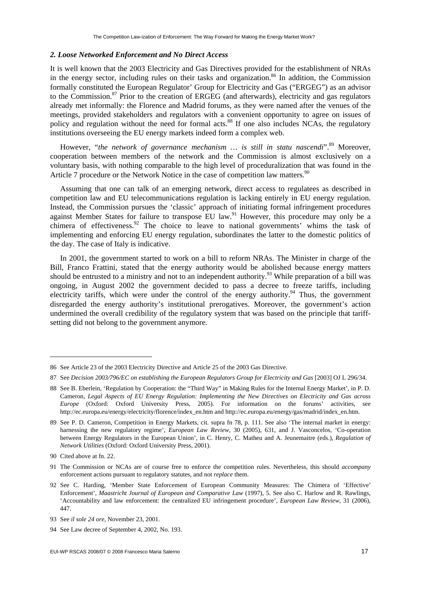#### *2. Loose Networked Enforcement and No Direct Access*

It is well known that the 2003 Electricity and Gas Directives provided for the establishment of NRAs in the energy sector, including rules on their tasks and organization.<sup>86</sup> In addition, the Commission formally constituted the European Regulator' Group for Electricity and Gas ("ERGEG") as an advisor to the Commission.<sup>87</sup> Prior to the creation of ERGEG (and afterwards), electricity and gas regulators already met informally: the Florence and Madrid forums, as they were named after the venues of the meetings, provided stakeholders and regulators with a convenient opportunity to agree on issues of policy and regulation without the need for formal acts.<sup>88</sup> If one also includes NCAs, the regulatory institutions overseeing the EU energy markets indeed form a complex web.

However, "the network of governance mechanism ... is still in statu nascendi".<sup>89</sup> Moreover, cooperation between members of the network and the Commission is almost exclusively on a voluntary basis, with nothing comparable to the high level of proceduralization that was found in the Article 7 procedure or the Network Notice in the case of competition law matters.<sup>90</sup>

Assuming that one can talk of an emerging network, direct access to regulatees as described in competition law and EU telecommunications regulation is lacking entirely in EU energy regulation. Instead, the Commission pursues the 'classic' approach of initiating formal infringement procedures against Member States for failure to transpose EU law.<sup>91</sup> However, this procedure may only be a chimera of effectiveness.<sup>92</sup> The choice to leave to national governments' whims the task of implementing and enforcing EU energy regulation, subordinates the latter to the domestic politics of the day. The case of Italy is indicative.

In 2001, the government started to work on a bill to reform NRAs. The Minister in charge of the Bill, Franco Frattini, stated that the energy authority would be abolished because energy matters should be entrusted to a ministry and not to an independent authority.<sup>93</sup> While preparation of a bill was ongoing, in August 2002 the government decided to pass a decree to freeze tariffs, including electricity tariffs, which were under the control of the energy authority.<sup>94</sup> Thus, the government disregarded the energy authority's institutional prerogatives. Moreover, the government's action undermined the overall credibility of the regulatory system that was based on the principle that tariffsetting did not belong to the government anymore.

<sup>86</sup> See Article 23 of the 2003 Electricity Directive and Article 25 of the 2003 Gas Directive.

<sup>87</sup> See *Decision 2003/796/EC on establishing the European Regulators Group for Electricity and Gas* [2003] OJ L 296/34.

<sup>88</sup> See B. Eberlein, 'Regulation by Cooperation: the "Third Way" in Making Rules for the Internal Energy Market', in P. D. Cameron, *Legal Aspects of EU Energy Regulation: Implementing the New Directives on Electricity and Gas across Europe* (Oxford: Oxford University Press, 2005). For information on the forums' activities, see http://ec.europa.eu/energy/electricity/florence/index\_en.htm and http://ec.europa.eu/energy/gas/madrid/index\_en.htm.

<sup>89</sup> See P. D. Cameron, Competition in Energy Markets, cit. supra fn 78, p. 111. See also 'The internal market in energy: harnessing the new regulatory regime', *European Law Review*, 30 (2005), 631, and J. Vasconcelos, 'Co-operation between Energy Regulators in the European Union', in C. Henry, C. Matheu and A. Jeunemaitre (eds.), *Regulation of Network Utilities* (Oxford: Oxford University Press, 2001).

<sup>90</sup> Cited above at fn. 22.

<sup>91</sup> The Commission or NCAs are of course free to enforce the competition rules. Nevertheless, this should *accompany* enforcement actions pursuant to regulatory statutes, and not *replace* them.

<sup>92</sup> See C. Harding, 'Member State Enforcement of European Community Measures: The Chimera of 'Effective' Enforcement', *Maastricht Journal of European and Comparative Law* (1997), 5. See also C. Harlow and R. Rawlings, 'Accountability and law enforcement: the centralized EU infringement procedure', *European Law Review*, 31 (2006), 447.

<sup>93</sup> See *il sole 24 ore*, November 23, 2001.

<sup>94</sup> See Law decree of September 4, 2002, No. 193.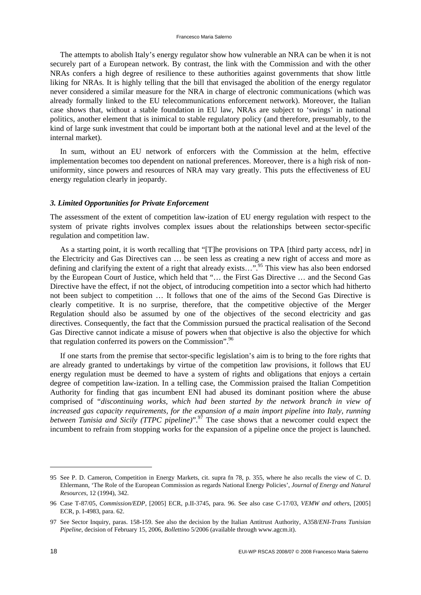The attempts to abolish Italy's energy regulator show how vulnerable an NRA can be when it is not securely part of a European network. By contrast, the link with the Commission and with the other NRAs confers a high degree of resilience to these authorities against governments that show little liking for NRAs. It is highly telling that the bill that envisaged the abolition of the energy regulator never considered a similar measure for the NRA in charge of electronic communications (which was already formally linked to the EU telecommunications enforcement network). Moreover, the Italian case shows that, without a stable foundation in EU law, NRAs are subject to 'swings' in national politics, another element that is inimical to stable regulatory policy (and therefore, presumably, to the kind of large sunk investment that could be important both at the national level and at the level of the internal market).

In sum, without an EU network of enforcers with the Commission at the helm, effective implementation becomes too dependent on national preferences. Moreover, there is a high risk of nonuniformity, since powers and resources of NRA may vary greatly. This puts the effectiveness of EU energy regulation clearly in jeopardy.

#### *3. Limited Opportunities for Private Enforcement*

The assessment of the extent of competition law-ization of EU energy regulation with respect to the system of private rights involves complex issues about the relationships between sector-specific regulation and competition law.

As a starting point, it is worth recalling that "[T]he provisions on TPA [third party access, ndr] in the Electricity and Gas Directives can … be seen less as creating a new right of access and more as defining and clarifying the extent of a right that already exists...".<sup>95</sup> This view has also been endorsed by the European Court of Justice, which held that "… the First Gas Directive … and the Second Gas Directive have the effect, if not the object, of introducing competition into a sector which had hitherto not been subject to competition … It follows that one of the aims of the Second Gas Directive is clearly competitive. It is no surprise, therefore, that the competitive objective of the Merger Regulation should also be assumed by one of the objectives of the second electricity and gas directives. Consequently, the fact that the Commission pursued the practical realisation of the Second Gas Directive cannot indicate a misuse of powers when that objective is also the objective for which that regulation conferred its powers on the Commission".<sup>96</sup>

If one starts from the premise that sector-specific legislation's aim is to bring to the fore rights that are already granted to undertakings by virtue of the competition law provisions, it follows that EU energy regulation must be deemed to have a system of rights and obligations that enjoys a certain degree of competition law-ization. In a telling case, the Commission praised the Italian Competition Authority for finding that gas incumbent ENI had abused its dominant position where the abuse comprised of "*discontinuing works, which had been started by the network branch in view of increased gas capacity requirements, for the expansion of a main import pipeline into Italy, running between Tunisia and Sicily (TTPC pipeline)*".<sup>97</sup> The case shows that a newcomer could expect the incumbent to refrain from stopping works for the expansion of a pipeline once the project is launched.

<sup>95</sup> See P. D. Cameron, Competition in Energy Markets, cit. supra fn 78, p. 355, where he also recalls the view of C. D. Ehlermann, 'The Role of the European Commission as regards National Energy Policies', *Journal of Energy and Natural Resources*, 12 (1994), 342.

<sup>96</sup> Case T-87/05, *Commission/EDP*, [2005] ECR, p.II-3745, para. 96. See also case C-17/03, *VEMW and others*, [2005] ECR, p. I-4983, para. 62.

<sup>97</sup> See Sector Inquiry, paras. 158-159. See also the decision by the Italian Antitrust Authority, A358/*ENI-Trans Tunisian Pipeline*, decision of February 15, 2006, *Bollettino* 5/2006 (available through www.agcm.it).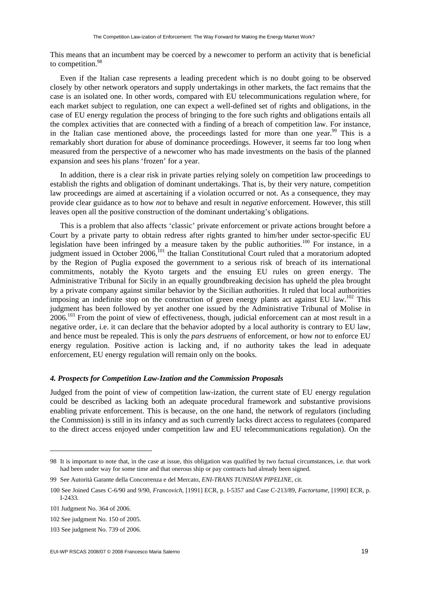This means that an incumbent may be coerced by a newcomer to perform an activity that is beneficial to competition.<sup>98</sup>

Even if the Italian case represents a leading precedent which is no doubt going to be observed closely by other network operators and supply undertakings in other markets, the fact remains that the case is an isolated one. In other words, compared with EU telecommunications regulation where, for each market subject to regulation, one can expect a well-defined set of rights and obligations, in the case of EU energy regulation the process of bringing to the fore such rights and obligations entails all the complex activities that are connected with a finding of a breach of competition law. For instance, in the Italian case mentioned above, the proceedings lasted for more than one year.<sup>99</sup> This is a remarkably short duration for abuse of dominance proceedings. However, it seems far too long when measured from the perspective of a newcomer who has made investments on the basis of the planned expansion and sees his plans 'frozen' for a year.

In addition, there is a clear risk in private parties relying solely on competition law proceedings to establish the rights and obligation of dominant undertakings. That is, by their very nature, competition law proceedings are aimed at ascertaining if a violation occurred or not. As a consequence, they may provide clear guidance as to how *not* to behave and result in *negative* enforcement. However, this still leaves open all the positive construction of the dominant undertaking's obligations.

This is a problem that also affects 'classic' private enforcement or private actions brought before a Court by a private party to obtain redress after rights granted to him/her under sector-specific EU legislation have been infringed by a measure taken by the public authorities.<sup>100</sup> For instance, in a judgment issued in October 2006,<sup>101</sup> the Italian Constitutional Court ruled that a moratorium adopted by the Region of Puglia exposed the government to a serious risk of breach of its international commitments, notably the Kyoto targets and the ensuing EU rules on green energy. The Administrative Tribunal for Sicily in an equally groundbreaking decision has upheld the plea brought by a private company against similar behavior by the Sicilian authorities. It ruled that local authorities imposing an indefinite stop on the construction of green energy plants act against EU law.<sup>102</sup> This judgment has been followed by yet another one issued by the Administrative Tribunal of Molise in 2006.103 From the point of view of effectiveness, though, judicial enforcement can at most result in a negative order, i.e. it can declare that the behavior adopted by a local authority is contrary to EU law, and hence must be repealed. This is only the *pars destruens* of enforcement, or how *not* to enforce EU energy regulation. Positive action is lacking and, if no authority takes the lead in adequate enforcement, EU energy regulation will remain only on the books.

#### *4. Prospects for Competition Law-Ization and the Commission Proposals*

Judged from the point of view of competition law-ization, the current state of EU energy regulation could be described as lacking both an adequate procedural framework and substantive provisions enabling private enforcement. This is because, on the one hand, the network of regulators (including the Commission) is still in its infancy and as such currently lacks direct access to regulatees (compared to the direct access enjoyed under competition law and EU telecommunications regulation). On the

<sup>98</sup> It is important to note that, in the case at issue, this obligation was qualified by two factual circumstances, i.e. that work had been under way for some time and that onerous ship or pay contracts had already been signed.

<sup>99</sup> See Autorità Garante della Concorrenza e del Mercato, *ENI-TRANS TUNISIAN PIPELINE*, cit.

<sup>100</sup> See Joined Cases C-6/90 and 9/90, *Francovich*, [1991] ECR, p. I-5357 and Case C-213/89, *Factortame*, [1990] ECR, p. I-2433.

<sup>101</sup> Judgment No. 364 of 2006.

<sup>102</sup> See judgment No. 150 of 2005.

<sup>103</sup> See judgment No. 739 of 2006.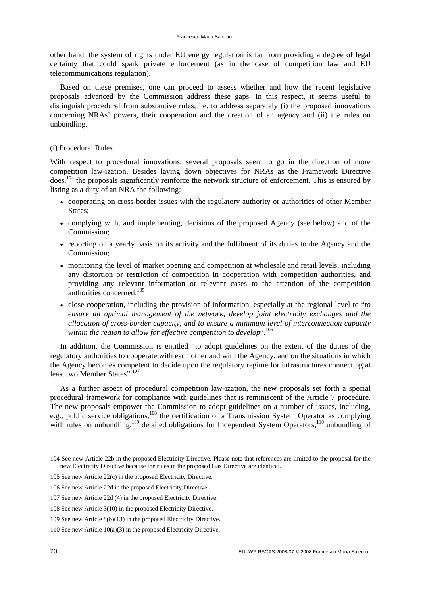other hand, the system of rights under EU energy regulation is far from providing a degree of legal certainty that could spark private enforcement (as in the case of competition law and EU telecommunications regulation).

Based on these premises, one can proceed to assess whether and how the recent legislative proposals advanced by the Commission address these gaps. In this respect, it seems useful to distinguish procedural from substantive rules, i.e. to address separately (i) the proposed innovations concerning NRAs' powers, their cooperation and the creation of an agency and (ii) the rules on unbundling.

#### (i) Procedural Rules

With respect to procedural innovations, several proposals seem to go in the direction of more competition law-ization. Besides laying down objectives for NRAs as the Framework Directive does.<sup>104</sup> the proposals significantly reinforce the network structure of enforcement. This is ensured by listing as a duty of an NRA the following:

- cooperating on cross-border issues with the regulatory authority or authorities of other Member States;
- complying with, and implementing, decisions of the proposed Agency (see below) and of the Commission;
- reporting on a yearly basis on its activity and the fulfilment of its duties to the Agency and the Commission;
- monitoring the level of market opening and competition at wholesale and retail levels, including any distortion or restriction of competition in cooperation with competition authorities, and providing any relevant information or relevant cases to the attention of the competition authorities concerned: $105$
- close cooperation, including the provision of information, especially at the regional level to "*to ensure an optimal management of the network, develop joint electricity exchanges and the allocation of cross-border capacity, and to ensure a minimum level of interconnection capacity*  within the region to allow for effective competition to develop".<sup>106</sup>

In addition, the Commission is entitled "to adopt guidelines on the extent of the duties of the regulatory authorities to cooperate with each other and with the Agency, and on the situations in which the Agency becomes competent to decide upon the regulatory regime for infrastructures connecting at least two Member States".<sup>107</sup>

As a further aspect of procedural competition law-ization, the new proposals set forth a special procedural framework for compliance with guidelines that is reminiscent of the Article 7 procedure. The new proposals empower the Commission to adopt guidelines on a number of issues, including, e.g., public service obligations,<sup>108</sup> the certification of a Transmission System Operator as complying with rules on unbundling,<sup>109</sup> detailed obligations for Independent System Operators,<sup>110</sup> unbundling of

<sup>104</sup> See new Article 22b in the proposed Electricity Directive. Please note that references are limited to the proposal for the new Electricity Directive because the rules in the proposed Gas Directive are identical.

<sup>105</sup> See new Article 22(c) in the proposed Electricity Directive.

<sup>106</sup> See new Article 22d in the proposed Electricity Directive.

<sup>107</sup> See new Article 22d (4) in the proposed Electricity Directive.

<sup>108</sup> See new Article 3(10) in the proposed Electricity Directive.

<sup>109</sup> See new Article 8(b)(13) in the proposed Electricity Directive.

<sup>110</sup> See new Article 10(a)(3) in the proposed Electricity Directive.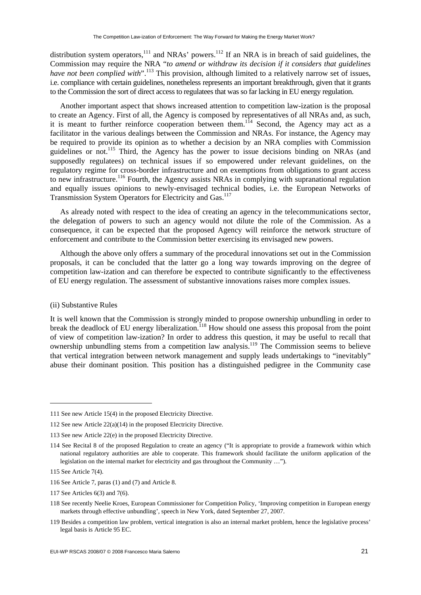distribution system operators, $^{111}$  and NRAs' powers.<sup>112</sup> If an NRA is in breach of said guidelines, the Commission may require the NRA "*to amend or withdraw its decision if it considers that guidelines have not been complied with*".<sup>113</sup> This provision, although limited to a relatively narrow set of issues, i.e. compliance with certain guidelines, nonetheless represents an important breakthrough, given that it grants to the Commission the sort of direct access to regulatees that was so far lacking in EU energy regulation.

Another important aspect that shows increased attention to competition law-ization is the proposal to create an Agency. First of all, the Agency is composed by representatives of all NRAs and, as such, it is meant to further reinforce cooperation between them.<sup>114</sup> Second, the Agency may act as a facilitator in the various dealings between the Commission and NRAs. For instance, the Agency may be required to provide its opinion as to whether a decision by an NRA complies with Commission guidelines or not.115 Third, the Agency has the power to issue decisions binding on NRAs (and supposedly regulatees) on technical issues if so empowered under relevant guidelines, on the regulatory regime for cross-border infrastructure and on exemptions from obligations to grant access to new infrastructure.<sup>116</sup> Fourth, the Agency assists NRAs in complying with supranational regulation and equally issues opinions to newly-envisaged technical bodies, i.e. the European Networks of Transmission System Operators for Electricity and Gas.<sup>117</sup>

As already noted with respect to the idea of creating an agency in the telecommunications sector, the delegation of powers to such an agency would not dilute the role of the Commission. As a consequence, it can be expected that the proposed Agency will reinforce the network structure of enforcement and contribute to the Commission better exercising its envisaged new powers.

Although the above only offers a summary of the procedural innovations set out in the Commission proposals, it can be concluded that the latter go a long way towards improving on the degree of competition law-ization and can therefore be expected to contribute significantly to the effectiveness of EU energy regulation. The assessment of substantive innovations raises more complex issues.

#### (ii) Substantive Rules

It is well known that the Commission is strongly minded to propose ownership unbundling in order to break the deadlock of EU energy liberalization.<sup>118</sup> How should one assess this proposal from the point of view of competition law-ization? In order to address this question, it may be useful to recall that ownership unbundling stems from a competition law analysis.<sup>119</sup> The Commission seems to believe that vertical integration between network management and supply leads undertakings to "inevitably" abuse their dominant position. This position has a distinguished pedigree in the Community case

- 116 See Article 7, paras (1) and (7) and Article 8.
- 117 See Articles 6(3) and 7(6).

<sup>111</sup> See new Article 15(4) in the proposed Electricity Directive.

<sup>112</sup> See new Article 22(a)(14) in the proposed Electricity Directive.

<sup>113</sup> See new Article 22(e) in the proposed Electricity Directive.

<sup>114</sup> See Recital 8 of the proposed Regulation to create an agency ("It is appropriate to provide a framework within which national regulatory authorities are able to cooperate. This framework should facilitate the uniform application of the legislation on the internal market for electricity and gas throughout the Community …").

<sup>115</sup> See Article 7(4).

<sup>118</sup> See recently Neelie Kroes, European Commissioner for Competition Policy, 'Improving competition in European energy markets through effective unbundling', speech in New York, dated September 27, 2007.

<sup>119</sup> Besides a competition law problem, vertical integration is also an internal market problem, hence the legislative process' legal basis is Article 95 EC.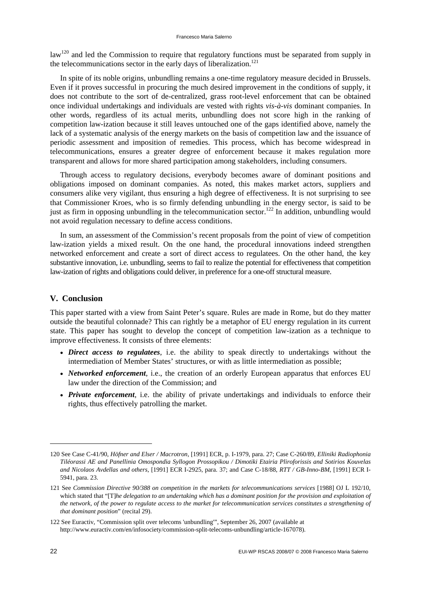$\text{law}^{120}$  and led the Commission to require that regulatory functions must be separated from supply in the telecommunications sector in the early days of liberalization.<sup>121</sup>

In spite of its noble origins, unbundling remains a one-time regulatory measure decided in Brussels. Even if it proves successful in procuring the much desired improvement in the conditions of supply, it does not contribute to the sort of de-centralized, grass root-level enforcement that can be obtained once individual undertakings and individuals are vested with rights *vis-à-vis* dominant companies. In other words, regardless of its actual merits, unbundling does not score high in the ranking of competition law-ization because it still leaves untouched one of the gaps identified above, namely the lack of a systematic analysis of the energy markets on the basis of competition law and the issuance of periodic assessment and imposition of remedies. This process, which has become widespread in telecommunications, ensures a greater degree of enforcement because it makes regulation more transparent and allows for more shared participation among stakeholders, including consumers.

Through access to regulatory decisions, everybody becomes aware of dominant positions and obligations imposed on dominant companies. As noted, this makes market actors, suppliers and consumers alike very vigilant, thus ensuring a high degree of effectiveness. It is not surprising to see that Commissioner Kroes, who is so firmly defending unbundling in the energy sector, is said to be just as firm in opposing unbundling in the telecommunication sector.<sup>122</sup> In addition, unbundling would not avoid regulation necessary to define access conditions.

In sum, an assessment of the Commission's recent proposals from the point of view of competition law-ization yields a mixed result. On the one hand, the procedural innovations indeed strengthen networked enforcement and create a sort of direct access to regulatees. On the other hand, the key substantive innovation, i.e. unbundling, seems to fail to realize the potential for effectiveness that competition law-ization of rights and obligations could deliver, in preference for a one-off structural measure.

## **V. Conclusion**

This paper started with a view from Saint Peter's square. Rules are made in Rome, but do they matter outside the beautiful colonnade? This can rightly be a metaphor of EU energy regulation in its current state. This paper has sought to develop the concept of competition law-ization as a technique to improve effectiveness. It consists of three elements:

- *Direct access to regulatees*, i.e. the ability to speak directly to undertakings without the intermediation of Member States' structures, or with as little intermediation as possible;
- *Networked enforcement*, i.e., the creation of an orderly European apparatus that enforces EU law under the direction of the Commission; and
- *Private enforcement*, i.e. the ability of private undertakings and individuals to enforce their rights, thus effectively patrolling the market.

<sup>120</sup> See Case C-41/90, *Höfner and Elser / Macrotron*, [1991] ECR, p. I-1979, para. 27; Case C-260/89, *Elliniki Radiophonia Tiléorassi AE and Panellinia Omospondia Syllogon Prossopikou / Dimotiki Etairia Pliroforissis and Sotirios Kouvelas and Nicolaos Avdellas and others*, [1991] ECR I-2925, para. 37; and Case C-18/88, *RTT / GB-Inno-BM*, [1991] ECR I-5941, para. 23.

<sup>121</sup> See *Commission Directive 90/388 on competition in the markets for telecommunications services* [1988] OJ L 192/10, which stated that "[T]*he delegation to an undertaking which has a dominant position for the provision and exploitation of the network, of the power to regulate access to the market for telecommunication services constitutes a strengthening of that dominant position*" (recital 29).

<sup>122</sup> See Euractiv, "Commission split over telecoms 'unbundling'", September 26, 2007 (available at http://www.euractiv.com/en/infosociety/commission-split-telecoms-unbundling/article-167078).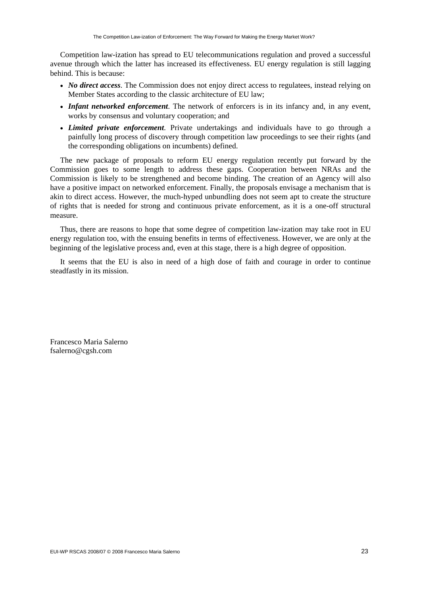Competition law-ization has spread to EU telecommunications regulation and proved a successful avenue through which the latter has increased its effectiveness. EU energy regulation is still lagging behind. This is because:

- *No direct access*. The Commission does not enjoy direct access to regulatees, instead relying on Member States according to the classic architecture of EU law;
- *Infant networked enforcement*. The network of enforcers is in its infancy and, in any event, works by consensus and voluntary cooperation; and
- *Limited private enforcement*. Private undertakings and individuals have to go through a painfully long process of discovery through competition law proceedings to see their rights (and the corresponding obligations on incumbents) defined.

The new package of proposals to reform EU energy regulation recently put forward by the Commission goes to some length to address these gaps. Cooperation between NRAs and the Commission is likely to be strengthened and become binding. The creation of an Agency will also have a positive impact on networked enforcement. Finally, the proposals envisage a mechanism that is akin to direct access. However, the much-hyped unbundling does not seem apt to create the structure of rights that is needed for strong and continuous private enforcement, as it is a one-off structural measure.

Thus, there are reasons to hope that some degree of competition law-ization may take root in EU energy regulation too, with the ensuing benefits in terms of effectiveness. However, we are only at the beginning of the legislative process and, even at this stage, there is a high degree of opposition.

It seems that the EU is also in need of a high dose of faith and courage in order to continue steadfastly in its mission.

Francesco Maria Salerno fsalerno@cgsh.com